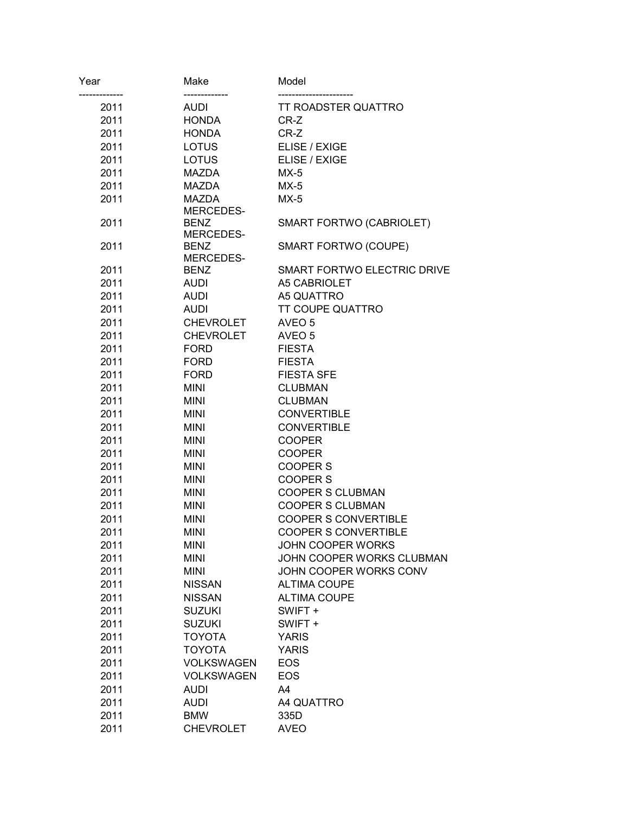| Year | Make              | Model                       |
|------|-------------------|-----------------------------|
| 2011 | AUDI              | <b>TT ROADSTER QUATTRO</b>  |
| 2011 | <b>HONDA</b>      | CR-Z                        |
| 2011 | <b>HONDA</b>      | CR-Z                        |
| 2011 | <b>LOTUS</b>      | ELISE / EXIGE               |
| 2011 | <b>LOTUS</b>      | ELISE / EXIGE               |
| 2011 | MAZDA             | $MX-5$                      |
| 2011 | <b>MAZDA</b>      | $MX-5$                      |
| 2011 | <b>MAZDA</b>      | $MX-5$                      |
|      | MERCEDES-         |                             |
| 2011 | <b>BENZ</b>       | SMART FORTWO (CABRIOLET)    |
|      | MERCEDES-         |                             |
| 2011 | <b>BENZ</b>       | SMART FORTWO (COUPE)        |
|      | MERCEDES-         |                             |
| 2011 | <b>BENZ</b>       | SMART FORTWO ELECTRIC DRIVE |
| 2011 | <b>AUDI</b>       | A5 CABRIOLET                |
| 2011 | <b>AUDI</b>       | A5 QUATTRO                  |
| 2011 | <b>AUDI</b>       | <b>TT COUPE QUATTRO</b>     |
| 2011 | <b>CHEVROLET</b>  | AVEO 5                      |
| 2011 | <b>CHEVROLET</b>  | AVEO 5                      |
| 2011 | <b>FORD</b>       | <b>FIESTA</b>               |
| 2011 | <b>FORD</b>       | <b>FIESTA</b>               |
| 2011 | <b>FORD</b>       | <b>FIESTA SFE</b>           |
| 2011 | <b>MINI</b>       | <b>CLUBMAN</b>              |
| 2011 | <b>MINI</b>       | <b>CLUBMAN</b>              |
| 2011 | <b>MINI</b>       | <b>CONVERTIBLE</b>          |
| 2011 | <b>MINI</b>       | <b>CONVERTIBLE</b>          |
| 2011 | <b>MINI</b>       | <b>COOPER</b>               |
| 2011 | <b>MINI</b>       | <b>COOPER</b>               |
| 2011 | <b>MINI</b>       | <b>COOPER S</b>             |
| 2011 | <b>MINI</b>       | <b>COOPER S</b>             |
| 2011 | <b>MINI</b>       | <b>COOPER S CLUBMAN</b>     |
| 2011 | <b>MINI</b>       | <b>COOPER S CLUBMAN</b>     |
| 2011 | <b>MINI</b>       | <b>COOPER S CONVERTIBLE</b> |
| 2011 | <b>MINI</b>       | <b>COOPER S CONVERTIBLE</b> |
| 2011 | <b>MINI</b>       | <b>JOHN COOPER WORKS</b>    |
| 2011 | <b>MINI</b>       | JOHN COOPER WORKS CLUBMAN   |
| 2011 | <b>MINI</b>       | JOHN COOPER WORKS CONV      |
| 2011 | <b>NISSAN</b>     | <b>ALTIMA COUPE</b>         |
| 2011 | <b>NISSAN</b>     | <b>ALTIMA COUPE</b>         |
| 2011 | <b>SUZUKI</b>     | SWIFT +                     |
| 2011 | <b>SUZUKI</b>     | SWIFT +                     |
| 2011 | <b>TOYOTA</b>     | <b>YARIS</b>                |
| 2011 | <b>TOYOTA</b>     | <b>YARIS</b>                |
| 2011 | VOLKSWAGEN        | <b>EOS</b>                  |
| 2011 | <b>VOLKSWAGEN</b> | <b>EOS</b>                  |
| 2011 | <b>AUDI</b>       | A4                          |
| 2011 | <b>AUDI</b>       | A4 QUATTRO                  |
| 2011 | <b>BMW</b>        | 335D                        |
| 2011 | <b>CHEVROLET</b>  | <b>AVEO</b>                 |
|      |                   |                             |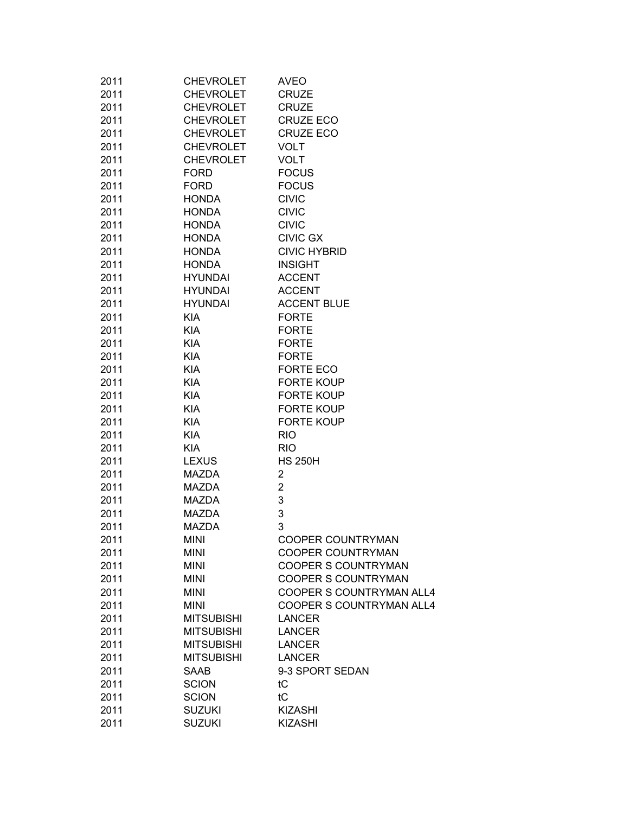| 2011 | <b>CHEVROLET</b>  | <b>AVEO</b>                               |
|------|-------------------|-------------------------------------------|
| 2011 | <b>CHEVROLET</b>  | <b>CRUZE</b>                              |
| 2011 | <b>CHEVROLET</b>  | <b>CRUZE</b>                              |
| 2011 | <b>CHEVROLET</b>  | <b>CRUZE ECO</b>                          |
| 2011 | <b>CHEVROLET</b>  | <b>CRUZE ECO</b>                          |
| 2011 | <b>CHEVROLET</b>  | <b>VOLT</b>                               |
| 2011 | <b>CHEVROLET</b>  | <b>VOLT</b>                               |
| 2011 | <b>FORD</b>       | <b>FOCUS</b>                              |
| 2011 | <b>FORD</b>       | <b>FOCUS</b>                              |
| 2011 | <b>HONDA</b>      | <b>CIVIC</b>                              |
| 2011 | <b>HONDA</b>      | <b>CIVIC</b>                              |
| 2011 | <b>HONDA</b>      | <b>CIVIC</b>                              |
| 2011 | <b>HONDA</b>      | <b>CIVIC GX</b>                           |
| 2011 | <b>HONDA</b>      | <b>CIVIC HYBRID</b>                       |
| 2011 | <b>HONDA</b>      | <b>INSIGHT</b>                            |
| 2011 | <b>HYUNDAI</b>    | <b>ACCENT</b>                             |
| 2011 | <b>HYUNDAI</b>    | <b>ACCENT</b>                             |
| 2011 | <b>HYUNDAI</b>    | <b>ACCENT BLUE</b>                        |
| 2011 | <b>KIA</b>        | <b>FORTE</b>                              |
| 2011 | <b>KIA</b>        | <b>FORTE</b>                              |
| 2011 | <b>KIA</b>        | <b>FORTE</b>                              |
| 2011 | <b>KIA</b>        | <b>FORTE</b>                              |
| 2011 | <b>KIA</b>        | FORTE ECO                                 |
| 2011 | <b>KIA</b>        | <b>FORTE KOUP</b>                         |
| 2011 | <b>KIA</b>        | <b>FORTE KOUP</b>                         |
| 2011 | <b>KIA</b>        | <b>FORTE KOUP</b>                         |
| 2011 | <b>KIA</b>        | <b>FORTE KOUP</b>                         |
| 2011 | <b>KIA</b>        | <b>RIO</b>                                |
| 2011 | <b>KIA</b>        | <b>RIO</b>                                |
| 2011 | <b>LEXUS</b>      | <b>HS 250H</b>                            |
| 2011 | <b>MAZDA</b>      | 2                                         |
| 2011 | <b>MAZDA</b>      | $\overline{2}$                            |
| 2011 | MAZDA             | 3                                         |
| 2011 | <b>MAZDA</b>      | 3                                         |
| 2011 | <b>MAZDA</b>      | 3                                         |
| 2011 | <b>MINI</b>       | <b>COOPER COUNTRYMAN</b>                  |
| 2011 | <b>MINI</b>       | <b>COOPER COUNTRYMAN</b>                  |
| 2011 | <b>MINI</b>       | <b>COOPER S COUNTRYMAN</b>                |
| 2011 | <b>MINI</b>       | <b>COOPER S COUNTRYMAN</b>                |
|      | <b>MINI</b>       |                                           |
| 2011 |                   | COOPER S COUNTRYMAN ALL4                  |
| 2011 | <b>MINI</b>       | COOPER S COUNTRYMAN ALL4<br><b>LANCER</b> |
| 2011 | <b>MITSUBISHI</b> |                                           |
| 2011 | <b>MITSUBISHI</b> | <b>LANCER</b>                             |
| 2011 | <b>MITSUBISHI</b> | <b>LANCER</b>                             |
| 2011 | <b>MITSUBISHI</b> | <b>LANCER</b>                             |
| 2011 | SAAB              | 9-3 SPORT SEDAN                           |
| 2011 | <b>SCION</b>      | tC                                        |
| 2011 | <b>SCION</b>      | tC                                        |
| 2011 | <b>SUZUKI</b>     | <b>KIZASHI</b>                            |
| 2011 | <b>SUZUKI</b>     | <b>KIZASHI</b>                            |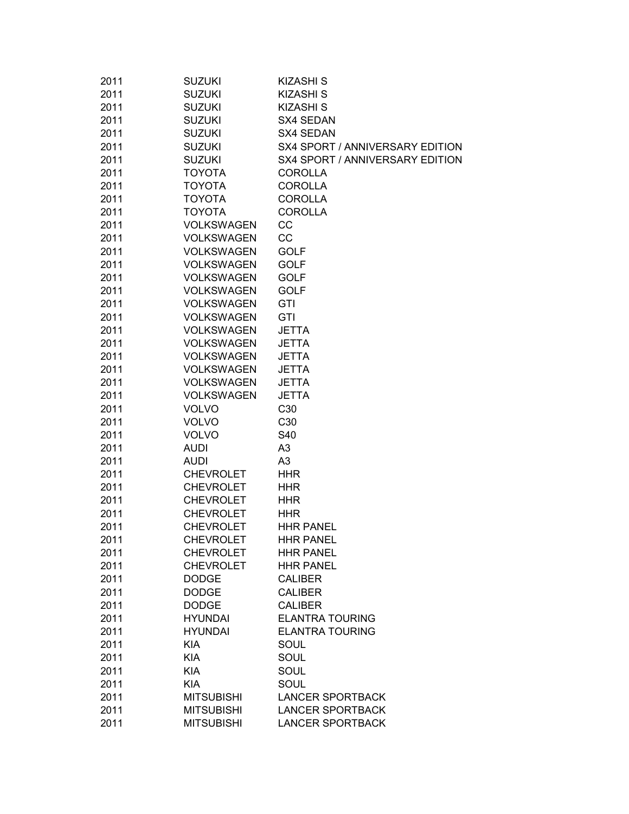| 2011 | <b>SUZUKI</b>     | <b>KIZASHI S</b>                |
|------|-------------------|---------------------------------|
| 2011 | <b>SUZUKI</b>     | <b>KIZASHI S</b>                |
| 2011 | <b>SUZUKI</b>     | <b>KIZASHI S</b>                |
| 2011 | <b>SUZUKI</b>     | SX4 SEDAN                       |
| 2011 | <b>SUZUKI</b>     | SX4 SEDAN                       |
| 2011 | <b>SUZUKI</b>     | SX4 SPORT / ANNIVERSARY EDITION |
| 2011 | <b>SUZUKI</b>     | SX4 SPORT / ANNIVERSARY EDITION |
| 2011 | <b>TOYOTA</b>     | <b>COROLLA</b>                  |
| 2011 | <b>TOYOTA</b>     | <b>COROLLA</b>                  |
| 2011 | <b>TOYOTA</b>     | <b>COROLLA</b>                  |
| 2011 | <b>TOYOTA</b>     | <b>COROLLA</b>                  |
| 2011 | <b>VOLKSWAGEN</b> | CC                              |
| 2011 | <b>VOLKSWAGEN</b> | CC                              |
| 2011 | <b>VOLKSWAGEN</b> | <b>GOLF</b>                     |
| 2011 | <b>VOLKSWAGEN</b> | <b>GOLF</b>                     |
| 2011 | <b>VOLKSWAGEN</b> | <b>GOLF</b>                     |
| 2011 | <b>VOLKSWAGEN</b> | <b>GOLF</b>                     |
| 2011 | <b>VOLKSWAGEN</b> | GTI                             |
| 2011 | <b>VOLKSWAGEN</b> | GTI                             |
| 2011 | <b>VOLKSWAGEN</b> | <b>JETTA</b>                    |
| 2011 | <b>VOLKSWAGEN</b> | <b>JETTA</b>                    |
| 2011 | <b>VOLKSWAGEN</b> | <b>JETTA</b>                    |
| 2011 | <b>VOLKSWAGEN</b> | <b>JETTA</b>                    |
| 2011 | <b>VOLKSWAGEN</b> | <b>JETTA</b>                    |
| 2011 | <b>VOLKSWAGEN</b> | <b>JETTA</b>                    |
| 2011 | <b>VOLVO</b>      | C30                             |
| 2011 | <b>VOLVO</b>      | C30                             |
| 2011 | <b>VOLVO</b>      | S40                             |
| 2011 | <b>AUDI</b>       | A <sub>3</sub>                  |
| 2011 | <b>AUDI</b>       | A <sub>3</sub>                  |
| 2011 | <b>CHEVROLET</b>  | <b>HHR</b>                      |
| 2011 | <b>CHEVROLET</b>  | <b>HHR</b>                      |
| 2011 | <b>CHEVROLET</b>  | <b>HHR</b>                      |
| 2011 | <b>CHEVROLET</b>  | <b>HHR</b>                      |
| 2011 | <b>CHEVROLET</b>  | <b>HHR PANEL</b>                |
| 2011 | <b>CHEVROLET</b>  | <b>HHR PANEL</b>                |
| 2011 | <b>CHEVROLET</b>  | <b>HHR PANEL</b>                |
| 2011 | <b>CHEVROLET</b>  | <b>HHR PANEL</b>                |
| 2011 | <b>DODGE</b>      | <b>CALIBER</b>                  |
| 2011 | <b>DODGE</b>      | <b>CALIBER</b>                  |
| 2011 | <b>DODGE</b>      | <b>CALIBER</b>                  |
| 2011 | <b>HYUNDAI</b>    | <b>ELANTRA TOURING</b>          |
| 2011 | <b>HYUNDAI</b>    | <b>ELANTRA TOURING</b>          |
| 2011 | <b>KIA</b>        | SOUL                            |
| 2011 | <b>KIA</b>        | SOUL                            |
| 2011 | <b>KIA</b>        |                                 |
|      | <b>KIA</b>        | SOUL                            |
| 2011 |                   | SOUL                            |
| 2011 | <b>MITSUBISHI</b> | <b>LANCER SPORTBACK</b>         |
| 2011 | <b>MITSUBISHI</b> | <b>LANCER SPORTBACK</b>         |
| 2011 | <b>MITSUBISHI</b> | <b>LANCER SPORTBACK</b>         |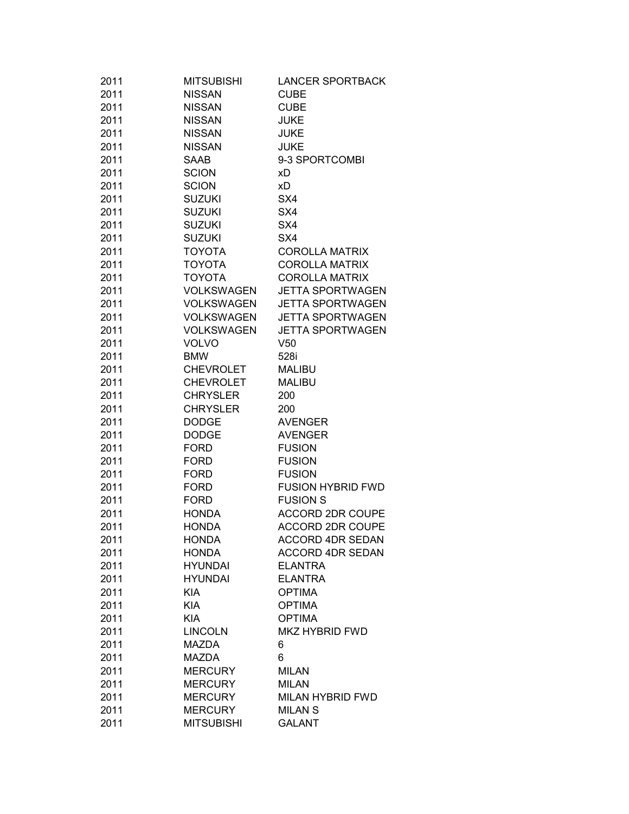| 2011         | <b>MITSUBISHI</b>              | <b>LANCER SPORTBACK</b>                   |
|--------------|--------------------------------|-------------------------------------------|
| 2011         | <b>NISSAN</b>                  | <b>CUBE</b>                               |
| 2011         | <b>NISSAN</b>                  | <b>CUBE</b>                               |
| 2011         | <b>NISSAN</b>                  | <b>JUKE</b>                               |
| 2011         | <b>NISSAN</b>                  | <b>JUKE</b>                               |
| 2011         | <b>NISSAN</b>                  | <b>JUKE</b>                               |
| 2011         | SAAB                           | 9-3 SPORTCOMBI                            |
| 2011         | <b>SCION</b>                   | хD                                        |
| 2011         | <b>SCION</b>                   | хD                                        |
| 2011         | <b>SUZUKI</b>                  | SX4                                       |
| 2011         | <b>SUZUKI</b>                  | SX4                                       |
| 2011         | <b>SUZUKI</b>                  | SX4                                       |
| 2011         | <b>SUZUKI</b>                  | SX4                                       |
| 2011         | <b>TOYOTA</b>                  | <b>COROLLA MATRIX</b>                     |
| 2011         | <b>TOYOTA</b>                  | <b>COROLLA MATRIX</b>                     |
| 2011         | <b>TOYOTA</b>                  | <b>COROLLA MATRIX</b>                     |
| 2011         | <b>VOLKSWAGEN</b>              | <b>JETTA SPORTWAGEN</b>                   |
| 2011         | <b>VOLKSWAGEN</b>              | <b>JETTA SPORTWAGEN</b>                   |
| 2011         | <b>VOLKSWAGEN</b>              | <b>JETTA SPORTWAGEN</b>                   |
| 2011         | <b>VOLKSWAGEN</b>              | <b>JETTA SPORTWAGEN</b>                   |
| 2011         | <b>VOLVO</b>                   | V <sub>50</sub>                           |
| 2011         | <b>BMW</b>                     | 528i                                      |
| 2011         | <b>CHEVROLET</b>               | <b>MALIBU</b>                             |
| 2011         | <b>CHEVROLET</b>               | <b>MALIBU</b>                             |
| 2011         | <b>CHRYSLER</b>                | 200                                       |
| 2011         | <b>CHRYSLER</b>                | 200                                       |
| 2011         | <b>DODGE</b>                   | <b>AVENGER</b>                            |
| 2011         | <b>DODGE</b>                   | <b>AVENGER</b>                            |
| 2011         | <b>FORD</b>                    | <b>FUSION</b>                             |
| 2011         | <b>FORD</b>                    | <b>FUSION</b>                             |
| 2011         | <b>FORD</b>                    | <b>FUSION</b>                             |
| 2011         | <b>FORD</b>                    | <b>FUSION HYBRID FWD</b>                  |
| 2011         | <b>FORD</b>                    | <b>FUSION S</b>                           |
| 2011         | <b>HONDA</b>                   | <b>ACCORD 2DR COUPE</b>                   |
| 2011         | <b>HONDA</b>                   | <b>ACCORD 2DR COUPE</b>                   |
| 2011         | <b>HONDA</b>                   | <b>ACCORD 4DR SEDAN</b>                   |
|              |                                |                                           |
| 2011<br>2011 | <b>HONDA</b><br><b>HYUNDAI</b> | <b>ACCORD 4DR SEDAN</b><br><b>ELANTRA</b> |
|              |                                |                                           |
| 2011         | <b>HYUNDAI</b>                 | <b>ELANTRA</b>                            |
| 2011         | <b>KIA</b>                     | <b>OPTIMA</b>                             |
| 2011         | <b>KIA</b>                     | <b>OPTIMA</b>                             |
| 2011         | <b>KIA</b>                     | <b>OPTIMA</b>                             |
| 2011         | <b>LINCOLN</b>                 | <b>MKZ HYBRID FWD</b>                     |
| 2011         | MAZDA                          | 6                                         |
| 2011         | MAZDA                          | 6                                         |
| 2011         | <b>MERCURY</b>                 | <b>MILAN</b>                              |
| 2011         | <b>MERCURY</b>                 | <b>MILAN</b>                              |
| 2011         | <b>MERCURY</b>                 | <b>MILAN HYBRID FWD</b>                   |
| 2011         | <b>MERCURY</b>                 | <b>MILAN S</b>                            |
| 2011         | <b>MITSUBISHI</b>              | <b>GALANT</b>                             |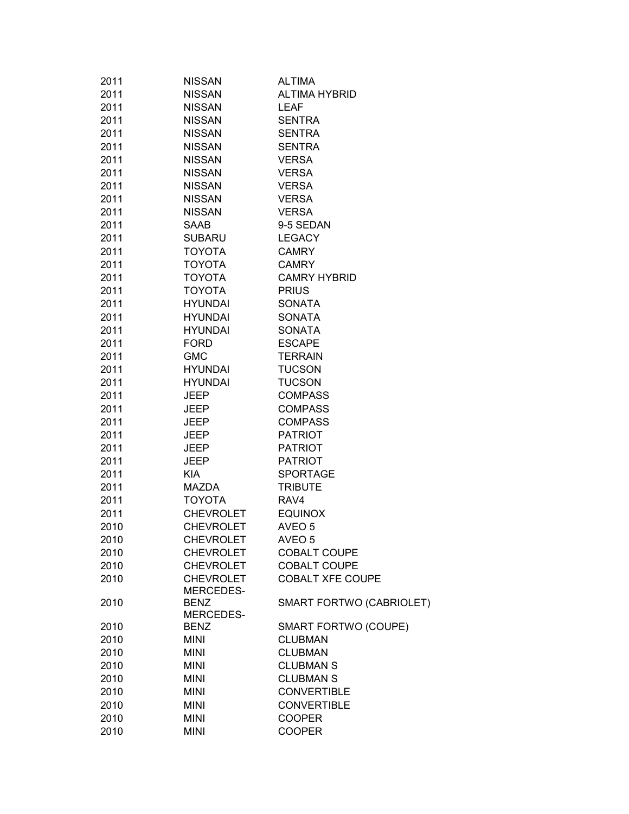| 2011 | <b>NISSAN</b>    | <b>ALTIMA</b>               |
|------|------------------|-----------------------------|
| 2011 | <b>NISSAN</b>    | <b>ALTIMA HYBRID</b>        |
| 2011 | <b>NISSAN</b>    | <b>LEAF</b>                 |
| 2011 | <b>NISSAN</b>    | <b>SENTRA</b>               |
| 2011 | <b>NISSAN</b>    | <b>SENTRA</b>               |
| 2011 | <b>NISSAN</b>    | <b>SENTRA</b>               |
| 2011 | <b>NISSAN</b>    | <b>VERSA</b>                |
| 2011 | <b>NISSAN</b>    | <b>VERSA</b>                |
| 2011 | <b>NISSAN</b>    | <b>VERSA</b>                |
| 2011 | <b>NISSAN</b>    | <b>VERSA</b>                |
| 2011 | <b>NISSAN</b>    | <b>VERSA</b>                |
| 2011 | SAAB             | 9-5 SEDAN                   |
| 2011 | <b>SUBARU</b>    | <b>LEGACY</b>               |
| 2011 | <b>TOYOTA</b>    | <b>CAMRY</b>                |
| 2011 | <b>TOYOTA</b>    | <b>CAMRY</b>                |
| 2011 | <b>TOYOTA</b>    | <b>CAMRY HYBRID</b>         |
| 2011 | <b>TOYOTA</b>    | <b>PRIUS</b>                |
| 2011 | <b>HYUNDAI</b>   | <b>SONATA</b>               |
| 2011 | <b>HYUNDAI</b>   | <b>SONATA</b>               |
| 2011 | <b>HYUNDAI</b>   | <b>SONATA</b>               |
| 2011 | <b>FORD</b>      | <b>ESCAPE</b>               |
| 2011 | <b>GMC</b>       | <b>TERRAIN</b>              |
| 2011 | <b>HYUNDAI</b>   | <b>TUCSON</b>               |
| 2011 | <b>HYUNDAI</b>   | <b>TUCSON</b>               |
| 2011 | <b>JEEP</b>      | <b>COMPASS</b>              |
| 2011 | <b>JEEP</b>      | <b>COMPASS</b>              |
| 2011 | <b>JEEP</b>      | <b>COMPASS</b>              |
| 2011 | <b>JEEP</b>      | <b>PATRIOT</b>              |
| 2011 | <b>JEEP</b>      | <b>PATRIOT</b>              |
| 2011 | <b>JEEP</b>      | <b>PATRIOT</b>              |
| 2011 | <b>KIA</b>       | <b>SPORTAGE</b>             |
| 2011 | <b>MAZDA</b>     | <b>TRIBUTE</b>              |
| 2011 | <b>TOYOTA</b>    | RAV4                        |
| 2011 | <b>CHEVROLET</b> | <b>EQUINOX</b>              |
| 2010 | <b>CHEVROLET</b> | AVEO <sub>5</sub>           |
| 2010 | <b>CHEVROLET</b> | AVEO <sub>5</sub>           |
| 2010 | <b>CHEVROLET</b> | <b>COBALT COUPE</b>         |
| 2010 | <b>CHEVROLET</b> | COBALT COUPE                |
| 2010 | <b>CHEVROLET</b> | <b>COBALT XFE COUPE</b>     |
|      | <b>MERCEDES-</b> |                             |
| 2010 | <b>BENZ</b>      | SMART FORTWO (CABRIOLET)    |
|      | MERCEDES-        |                             |
| 2010 | <b>BENZ</b>      | <b>SMART FORTWO (COUPE)</b> |
| 2010 | <b>MINI</b>      | <b>CLUBMAN</b>              |
| 2010 | <b>MINI</b>      | <b>CLUBMAN</b>              |
| 2010 | <b>MINI</b>      | <b>CLUBMAN S</b>            |
| 2010 | <b>MINI</b>      | <b>CLUBMAN S</b>            |
| 2010 | <b>MINI</b>      | <b>CONVERTIBLE</b>          |
| 2010 | <b>MINI</b>      | <b>CONVERTIBLE</b>          |
| 2010 | <b>MINI</b>      | <b>COOPER</b>               |
| 2010 | <b>MINI</b>      | <b>COOPER</b>               |
|      |                  |                             |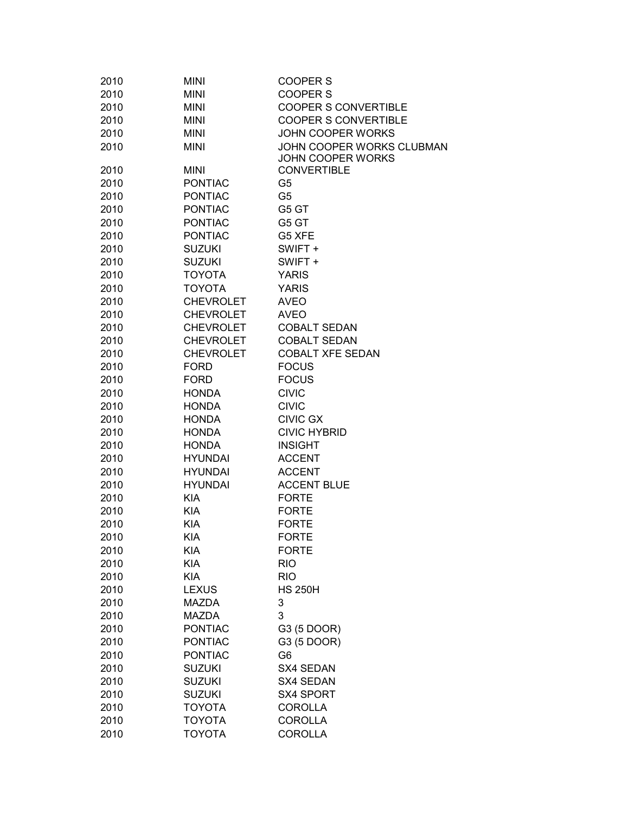| 2010         | <b>MINI</b>              | COOPER S                                       |
|--------------|--------------------------|------------------------------------------------|
| 2010         | <b>MINI</b>              | <b>COOPER S</b>                                |
| 2010         | <b>MINI</b>              | <b>COOPER S CONVERTIBLE</b>                    |
| 2010         | <b>MINI</b>              | <b>COOPER S CONVERTIBLE</b>                    |
| 2010         | <b>MINI</b>              | JOHN COOPER WORKS                              |
| 2010         | <b>MINI</b>              | JOHN COOPER WORKS CLUBMAN<br>JOHN COOPER WORKS |
| 2010         | <b>MINI</b>              | <b>CONVERTIBLE</b>                             |
| 2010         | <b>PONTIAC</b>           | G5                                             |
| 2010         | <b>PONTIAC</b>           | G <sub>5</sub>                                 |
| 2010         | <b>PONTIAC</b>           | G5 GT                                          |
| 2010         | <b>PONTIAC</b>           | G5 GT                                          |
| 2010         | <b>PONTIAC</b>           | G5 XFE                                         |
| 2010         | <b>SUZUKI</b>            | SWIFT +                                        |
| 2010         | <b>SUZUKI</b>            | SWIFT +                                        |
| 2010         | <b>TOYOTA</b>            | <b>YARIS</b>                                   |
| 2010         | <b>TOYOTA</b>            | <b>YARIS</b>                                   |
| 2010         | <b>CHEVROLET</b>         | <b>AVEO</b>                                    |
| 2010         | <b>CHEVROLET</b>         | <b>AVEO</b>                                    |
| 2010         | <b>CHEVROLET</b>         | <b>COBALT SEDAN</b>                            |
| 2010         | <b>CHEVROLET</b>         | <b>COBALT SEDAN</b>                            |
| 2010         | <b>CHEVROLET</b>         | <b>COBALT XFE SEDAN</b>                        |
| 2010         | <b>FORD</b>              | <b>FOCUS</b>                                   |
| 2010         | <b>FORD</b>              | <b>FOCUS</b>                                   |
| 2010         | <b>HONDA</b>             | <b>CIVIC</b>                                   |
| 2010         | <b>HONDA</b>             | <b>CIVIC</b>                                   |
| 2010         | <b>HONDA</b>             | <b>CIVIC GX</b>                                |
| 2010         | <b>HONDA</b>             | <b>CIVIC HYBRID</b>                            |
| 2010         | <b>HONDA</b>             | <b>INSIGHT</b>                                 |
| 2010         | <b>HYUNDAI</b>           | <b>ACCENT</b>                                  |
| 2010         | <b>HYUNDAI</b>           | <b>ACCENT</b>                                  |
| 2010         | <b>HYUNDAI</b>           | <b>ACCENT BLUE</b>                             |
| 2010         | <b>KIA</b>               | <b>FORTE</b>                                   |
| 2010         | <b>KIA</b>               | <b>FORTE</b>                                   |
| 2010         | <b>KIA</b>               | <b>FORTE</b>                                   |
| 2010         | KIA                      | <b>FORTE</b>                                   |
|              |                          |                                                |
| 2010<br>2010 | KIA                      | <b>FORTE</b>                                   |
|              | <b>KIA</b><br><b>KIA</b> | <b>RIO</b>                                     |
| 2010         |                          | <b>RIO</b><br><b>HS 250H</b>                   |
| 2010         | <b>LEXUS</b>             |                                                |
| 2010         | <b>MAZDA</b>             | 3                                              |
| 2010         | <b>MAZDA</b>             | 3                                              |
| 2010         | <b>PONTIAC</b>           | G3 (5 DOOR)                                    |
| 2010         | <b>PONTIAC</b>           | G3 (5 DOOR)                                    |
| 2010         | <b>PONTIAC</b>           | G <sub>6</sub>                                 |
| 2010         | <b>SUZUKI</b>            | SX4 SEDAN                                      |
| 2010         | <b>SUZUKI</b>            | <b>SX4 SEDAN</b>                               |
| 2010         | <b>SUZUKI</b>            | SX4 SPORT                                      |
| 2010         | <b>TOYOTA</b>            | <b>COROLLA</b>                                 |
| 2010         | <b>TOYOTA</b>            | <b>COROLLA</b>                                 |
| 2010         | <b>TOYOTA</b>            | <b>COROLLA</b>                                 |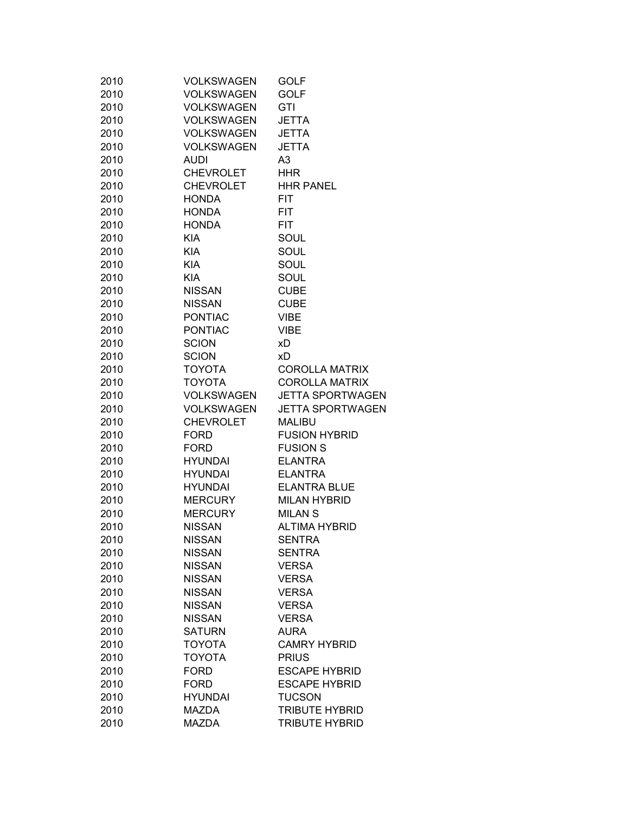| 2010 | VOLKSWAGEN        | <b>GOLF</b>             |
|------|-------------------|-------------------------|
| 2010 | <b>VOLKSWAGEN</b> | <b>GOLF</b>             |
| 2010 | <b>VOLKSWAGEN</b> | GTI                     |
| 2010 | VOLKSWAGEN        | <b>JETTA</b>            |
| 2010 | VOLKSWAGEN        | <b>JETTA</b>            |
| 2010 | VOLKSWAGEN        | <b>JETTA</b>            |
| 2010 | <b>AUDI</b>       | A3                      |
| 2010 | <b>CHEVROLET</b>  | <b>HHR</b>              |
| 2010 | <b>CHEVROLET</b>  | <b>HHR PANEL</b>        |
| 2010 | HONDA             | FIT.                    |
| 2010 | <b>HONDA</b>      | <b>FIT</b>              |
| 2010 | HONDA             | FIT.                    |
| 2010 | <b>KIA</b>        | SOUL                    |
| 2010 | <b>KIA</b>        | SOUL                    |
| 2010 | KIA               | <b>SOUL</b>             |
| 2010 | <b>KIA</b>        | <b>SOUL</b>             |
| 2010 | <b>NISSAN</b>     | <b>CUBE</b>             |
| 2010 | <b>NISSAN</b>     | <b>CUBE</b>             |
| 2010 | <b>PONTIAC</b>    | <b>VIBE</b>             |
| 2010 | PONTIAC           | <b>VIBE</b>             |
| 2010 | <b>SCION</b>      | хD                      |
| 2010 | <b>SCION</b>      | xD                      |
| 2010 | <b>TOYOTA</b>     | <b>COROLLA MATRIX</b>   |
| 2010 | <b>TOYOTA</b>     | <b>COROLLA MATRIX</b>   |
|      | VOLKSWAGEN        | <b>JETTA SPORTWAGEN</b> |
| 2010 | VOLKSWAGEN        | <b>JETTA SPORTWAGEN</b> |
| 2010 |                   |                         |
| 2010 | <b>CHEVROLET</b>  | <b>MALIBU</b>           |
| 2010 | <b>FORD</b>       | <b>FUSION HYBRID</b>    |
| 2010 | FORD              | <b>FUSION S</b>         |
| 2010 | <b>HYUNDAI</b>    | <b>ELANTRA</b>          |
| 2010 | HYUNDAI           | <b>ELANTRA</b>          |
| 2010 | <b>HYUNDAI</b>    | <b>ELANTRA BLUE</b>     |
| 2010 | <b>MERCURY</b>    | <b>MILAN HYBRID</b>     |
| 2010 | <b>MERCURY</b>    | <b>MILAN S</b>          |
| 2010 | <b>NISSAN</b>     | <b>ALTIMA HYBRID</b>    |
| 2010 | <b>NISSAN</b>     | <b>SENTRA</b>           |
| 2010 | <b>NISSAN</b>     | SENTRA                  |
| 2010 | <b>NISSAN</b>     | <b>VERSA</b>            |
| 2010 | <b>NISSAN</b>     | <b>VERSA</b>            |
| 2010 | <b>NISSAN</b>     | <b>VERSA</b>            |
| 2010 | <b>NISSAN</b>     | <b>VERSA</b>            |
| 2010 | <b>NISSAN</b>     | <b>VERSA</b>            |
| 2010 | <b>SATURN</b>     | AURA                    |
| 2010 | <b>TOYOTA</b>     | <b>CAMRY HYBRID</b>     |
| 2010 | <b>TOYOTA</b>     | <b>PRIUS</b>            |
| 2010 | <b>FORD</b>       | <b>ESCAPE HYBRID</b>    |
| 2010 | <b>FORD</b>       | <b>ESCAPE HYBRID</b>    |
| 2010 | <b>HYUNDAI</b>    | <b>TUCSON</b>           |
| 2010 | <b>MAZDA</b>      | <b>TRIBUTE HYBRID</b>   |
| 2010 | <b>MAZDA</b>      | <b>TRIBUTE HYBRID</b>   |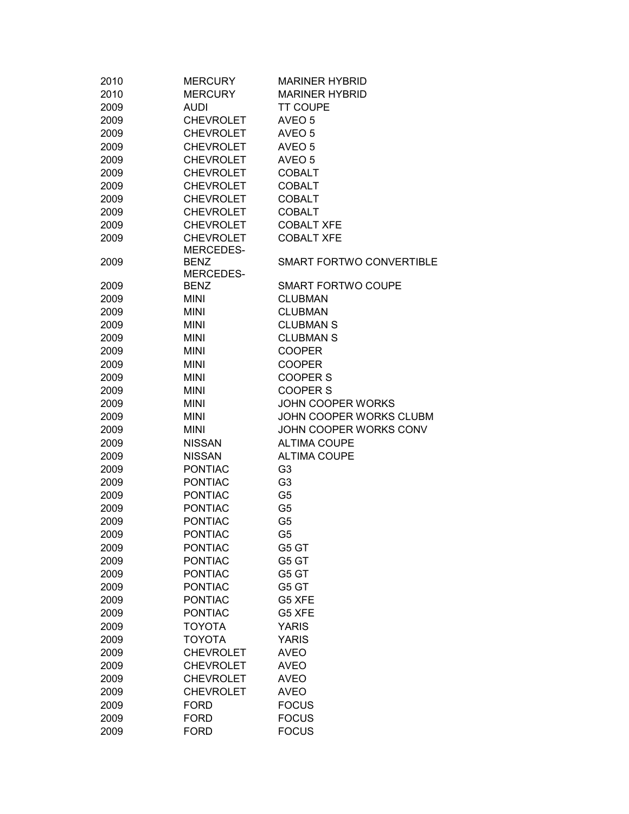| 2010 | <b>MERCURY</b>   | <b>MARINER HYBRID</b>     |
|------|------------------|---------------------------|
| 2010 | <b>MERCURY</b>   | <b>MARINER HYBRID</b>     |
| 2009 | <b>AUDI</b>      | <b>TT COUPE</b>           |
| 2009 | <b>CHEVROLET</b> | AVEO 5                    |
| 2009 | <b>CHEVROLET</b> | AVEO 5                    |
| 2009 | <b>CHEVROLET</b> | AVEO <sub>5</sub>         |
| 2009 | <b>CHEVROLET</b> | AVEO 5                    |
| 2009 | <b>CHEVROLET</b> | <b>COBALT</b>             |
| 2009 | <b>CHEVROLET</b> | <b>COBALT</b>             |
| 2009 | <b>CHEVROLET</b> | <b>COBALT</b>             |
| 2009 | <b>CHEVROLET</b> | <b>COBALT</b>             |
| 2009 | <b>CHEVROLET</b> | <b>COBALT XFE</b>         |
| 2009 | <b>CHEVROLET</b> | <b>COBALT XFE</b>         |
|      | MERCEDES-        |                           |
| 2009 | <b>BENZ</b>      | SMART FORTWO CONVERTIBLE  |
|      | MERCEDES-        |                           |
| 2009 | <b>BENZ</b>      | <b>SMART FORTWO COUPE</b> |
| 2009 | <b>MINI</b>      | <b>CLUBMAN</b>            |
| 2009 | <b>MINI</b>      | <b>CLUBMAN</b>            |
| 2009 | <b>MINI</b>      | <b>CLUBMAN S</b>          |
| 2009 | <b>MINI</b>      | <b>CLUBMAN S</b>          |
| 2009 | <b>MINI</b>      | <b>COOPER</b>             |
| 2009 | <b>MINI</b>      | <b>COOPER</b>             |
| 2009 | <b>MINI</b>      | <b>COOPER S</b>           |
| 2009 | <b>MINI</b>      | <b>COOPER S</b>           |
| 2009 | <b>MINI</b>      | <b>JOHN COOPER WORKS</b>  |
|      |                  | JOHN COOPER WORKS CLUBM   |
| 2009 | <b>MINI</b>      |                           |
| 2009 | <b>MINI</b>      | JOHN COOPER WORKS CONV    |
| 2009 | <b>NISSAN</b>    | <b>ALTIMA COUPE</b>       |
| 2009 | <b>NISSAN</b>    | <b>ALTIMA COUPE</b>       |
| 2009 | <b>PONTIAC</b>   | G <sub>3</sub>            |
| 2009 | <b>PONTIAC</b>   | G <sub>3</sub>            |
| 2009 | <b>PONTIAC</b>   | G <sub>5</sub>            |
| 2009 | <b>PONTIAC</b>   | G <sub>5</sub>            |
| 2009 | <b>PONTIAC</b>   | G <sub>5</sub>            |
| 2009 | <b>PONTIAC</b>   | G5                        |
| 2009 | <b>PONTIAC</b>   | G5 GT                     |
| 2009 | <b>PONTIAC</b>   | G5 GT                     |
| 2009 | <b>PONTIAC</b>   | G5 GT                     |
| 2009 | <b>PONTIAC</b>   | G5 GT                     |
| 2009 | <b>PONTIAC</b>   | G5 XFE                    |
| 2009 | <b>PONTIAC</b>   | G5 XFE                    |
| 2009 | <b>TOYOTA</b>    | <b>YARIS</b>              |
| 2009 | <b>TOYOTA</b>    | <b>YARIS</b>              |
| 2009 | <b>CHEVROLET</b> | <b>AVEO</b>               |
| 2009 | <b>CHEVROLET</b> | <b>AVEO</b>               |
| 2009 | <b>CHEVROLET</b> | <b>AVEO</b>               |
| 2009 | <b>CHEVROLET</b> | <b>AVEO</b>               |
| 2009 | <b>FORD</b>      | <b>FOCUS</b>              |
| 2009 | <b>FORD</b>      | <b>FOCUS</b>              |
| 2009 | <b>FORD</b>      | <b>FOCUS</b>              |
|      |                  |                           |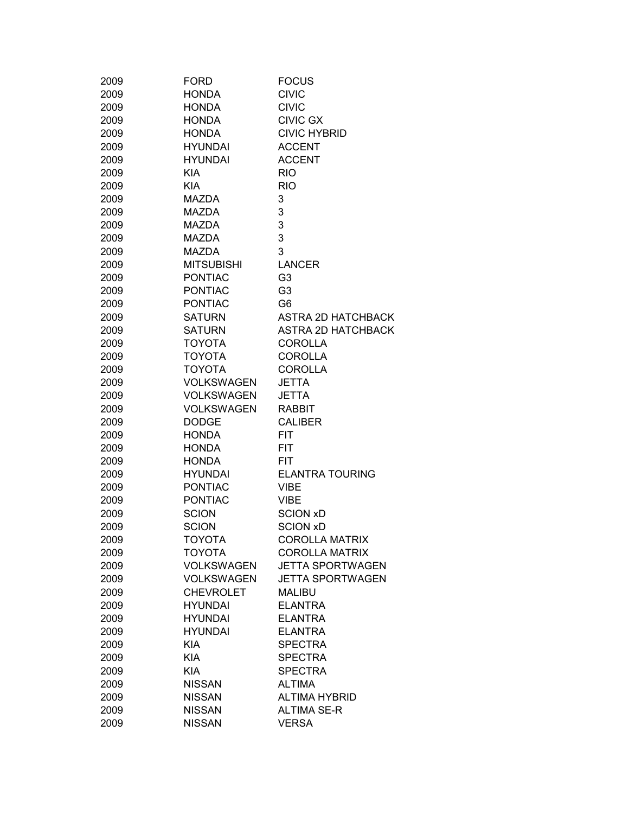| 2009 | <b>FORD</b>                    | <b>FOCUS</b>              |
|------|--------------------------------|---------------------------|
| 2009 | <b>HONDA</b>                   | <b>CIVIC</b>              |
| 2009 | <b>HONDA</b>                   | <b>CIVIC</b>              |
| 2009 | <b>HONDA</b>                   | <b>CIVIC GX</b>           |
| 2009 | <b>HONDA</b>                   | <b>CIVIC HYBRID</b>       |
| 2009 | <b>HYUNDAI</b>                 | <b>ACCENT</b>             |
| 2009 | <b>HYUNDAI</b>                 | <b>ACCENT</b>             |
| 2009 | <b>KIA</b>                     | <b>RIO</b>                |
| 2009 | <b>KIA</b>                     | <b>RIO</b>                |
| 2009 | <b>MAZDA</b>                   | 3                         |
| 2009 | <b>MAZDA</b>                   | 3                         |
| 2009 | <b>MAZDA</b>                   | 3                         |
| 2009 | <b>MAZDA</b>                   | 3                         |
| 2009 | <b>MAZDA</b>                   | 3                         |
| 2009 | <b>MITSUBISHI</b>              | <b>LANCER</b>             |
| 2009 | <b>PONTIAC</b>                 | G <sub>3</sub>            |
| 2009 | <b>PONTIAC</b>                 | G <sub>3</sub>            |
| 2009 | <b>PONTIAC</b>                 | G <sub>6</sub>            |
| 2009 | <b>SATURN</b>                  | <b>ASTRA 2D HATCHBACK</b> |
| 2009 | <b>SATURN</b>                  | <b>ASTRA 2D HATCHBACK</b> |
| 2009 |                                |                           |
|      | <b>TOYOTA</b><br><b>TOYOTA</b> | <b>COROLLA</b>            |
| 2009 |                                | <b>COROLLA</b>            |
| 2009 | <b>TOYOTA</b>                  | <b>COROLLA</b>            |
| 2009 | <b>VOLKSWAGEN</b>              | <b>JETTA</b>              |
| 2009 | <b>VOLKSWAGEN</b>              | <b>JETTA</b>              |
| 2009 | <b>VOLKSWAGEN</b>              | <b>RABBIT</b>             |
| 2009 | <b>DODGE</b>                   | <b>CALIBER</b>            |
| 2009 | <b>HONDA</b>                   | <b>FIT</b>                |
| 2009 | <b>HONDA</b>                   | <b>FIT</b>                |
| 2009 | <b>HONDA</b>                   | <b>FIT</b>                |
| 2009 | <b>HYUNDAI</b>                 | <b>ELANTRA TOURING</b>    |
| 2009 | <b>PONTIAC</b>                 | <b>VIBE</b>               |
| 2009 | <b>PONTIAC</b>                 | <b>VIBE</b>               |
| 2009 | <b>SCION</b>                   | <b>SCION xD</b>           |
| 2009 | <b>SCION</b>                   | <b>SCION xD</b>           |
| 2009 | ΤΟΥΟΤΑ                         | <b>COROLLA MATRIX</b>     |
| 2009 | TOYOTA                         | <b>COROLLA MATRIX</b>     |
| 2009 | <b>VOLKSWAGEN</b>              | <b>JETTA SPORTWAGEN</b>   |
| 2009 | <b>VOLKSWAGEN</b>              | <b>JETTA SPORTWAGEN</b>   |
| 2009 | <b>CHEVROLET</b>               | <b>MALIBU</b>             |
| 2009 | <b>HYUNDAI</b>                 | <b>ELANTRA</b>            |
| 2009 | <b>HYUNDAI</b>                 | <b>ELANTRA</b>            |
| 2009 | <b>HYUNDAI</b>                 | <b>ELANTRA</b>            |
| 2009 | <b>KIA</b>                     | <b>SPECTRA</b>            |
| 2009 | <b>KIA</b>                     | <b>SPECTRA</b>            |
| 2009 | <b>KIA</b>                     | <b>SPECTRA</b>            |
| 2009 | <b>NISSAN</b>                  | <b>ALTIMA</b>             |
| 2009 | <b>NISSAN</b>                  | <b>ALTIMA HYBRID</b>      |
| 2009 | <b>NISSAN</b>                  | <b>ALTIMA SE-R</b>        |
| 2009 | <b>NISSAN</b>                  | <b>VERSA</b>              |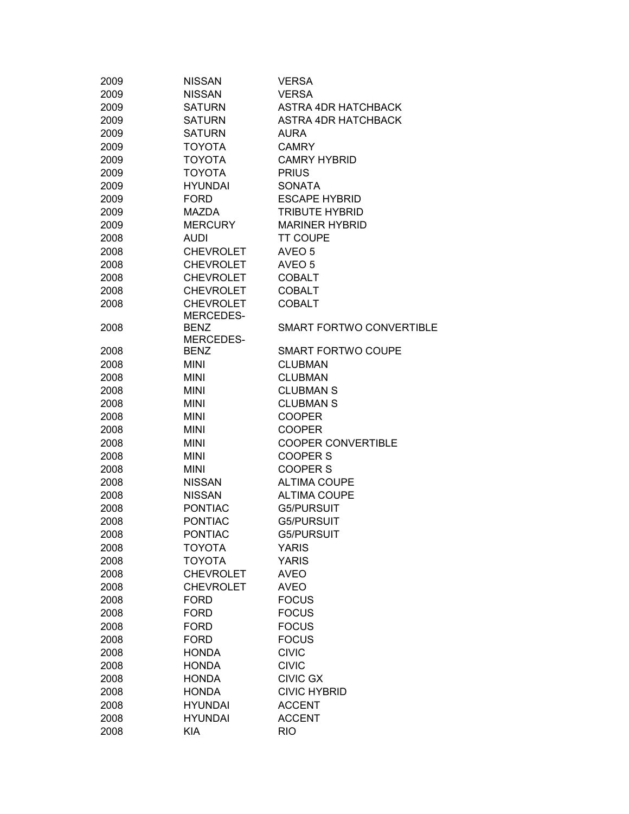| 2009 | <b>NISSAN</b>                 | <b>VERSA</b>               |
|------|-------------------------------|----------------------------|
| 2009 | <b>NISSAN</b>                 | <b>VERSA</b>               |
| 2009 | <b>SATURN</b>                 | <b>ASTRA 4DR HATCHBACK</b> |
| 2009 | <b>SATURN</b>                 | <b>ASTRA 4DR HATCHBACK</b> |
| 2009 | <b>SATURN</b>                 | <b>AURA</b>                |
| 2009 | <b>TOYOTA</b>                 | <b>CAMRY</b>               |
| 2009 | <b>TOYOTA</b>                 | <b>CAMRY HYBRID</b>        |
| 2009 | <b>TOYOTA</b>                 | <b>PRIUS</b>               |
| 2009 | <b>HYUNDAI</b>                | <b>SONATA</b>              |
| 2009 | <b>FORD</b>                   | <b>ESCAPE HYBRID</b>       |
|      |                               | <b>TRIBUTE HYBRID</b>      |
| 2009 | MAZDA                         |                            |
| 2009 | <b>MERCURY</b>                | <b>MARINER HYBRID</b>      |
| 2008 | AUDI                          | <b>TT COUPE</b>            |
| 2008 | <b>CHEVROLET</b>              | AVEO 5                     |
| 2008 | <b>CHEVROLET</b>              | AVEO 5                     |
| 2008 | <b>CHEVROLET</b>              | <b>COBALT</b>              |
| 2008 | <b>CHEVROLET</b>              | <b>COBALT</b>              |
| 2008 | <b>CHEVROLET</b><br>MERCEDES- | <b>COBALT</b>              |
| 2008 | <b>BENZ</b>                   | SMART FORTWO CONVERTIBLE   |
|      | MERCEDES-                     |                            |
| 2008 | <b>BENZ</b>                   | <b>SMART FORTWO COUPE</b>  |
| 2008 | <b>MINI</b>                   | <b>CLUBMAN</b>             |
| 2008 | <b>MINI</b>                   | <b>CLUBMAN</b>             |
| 2008 | <b>MINI</b>                   | <b>CLUBMAN S</b>           |
| 2008 | <b>MINI</b>                   | <b>CLUBMAN S</b>           |
| 2008 | <b>MINI</b>                   | <b>COOPER</b>              |
| 2008 | <b>MINI</b>                   | <b>COOPER</b>              |
| 2008 | <b>MINI</b>                   | <b>COOPER CONVERTIBLE</b>  |
| 2008 | <b>MINI</b>                   | <b>COOPER S</b>            |
| 2008 | <b>MINI</b>                   | <b>COOPER S</b>            |
| 2008 | <b>NISSAN</b>                 | <b>ALTIMA COUPE</b>        |
| 2008 | <b>NISSAN</b>                 | <b>ALTIMA COUPE</b>        |
| 2008 | <b>PONTIAC</b>                | <b>G5/PURSUIT</b>          |
| 2008 | <b>PONTIAC</b>                | <b>G5/PURSUIT</b>          |
| 2008 | <b>PONTIAC</b>                | G5/PURSUIT                 |
|      |                               |                            |
| 2008 | <b>TOYOTA</b>                 | <b>YARIS</b>               |
| 2008 | <b>TOYOTA</b>                 | <b>YARIS</b>               |
| 2008 | <b>CHEVROLET</b>              | <b>AVEO</b>                |
| 2008 | <b>CHEVROLET</b>              | <b>AVEO</b>                |
| 2008 | <b>FORD</b>                   | <b>FOCUS</b>               |
| 2008 | <b>FORD</b>                   | <b>FOCUS</b>               |
| 2008 | <b>FORD</b>                   | <b>FOCUS</b>               |
| 2008 | <b>FORD</b>                   | <b>FOCUS</b>               |
| 2008 | <b>HONDA</b>                  | <b>CIVIC</b>               |
| 2008 | <b>HONDA</b>                  | <b>CIVIC</b>               |
| 2008 | <b>HONDA</b>                  | <b>CIVIC GX</b>            |
| 2008 | <b>HONDA</b>                  | <b>CIVIC HYBRID</b>        |
| 2008 | <b>HYUNDAI</b>                | <b>ACCENT</b>              |
| 2008 | <b>HYUNDAI</b>                | <b>ACCENT</b>              |
| 2008 | <b>KIA</b>                    | <b>RIO</b>                 |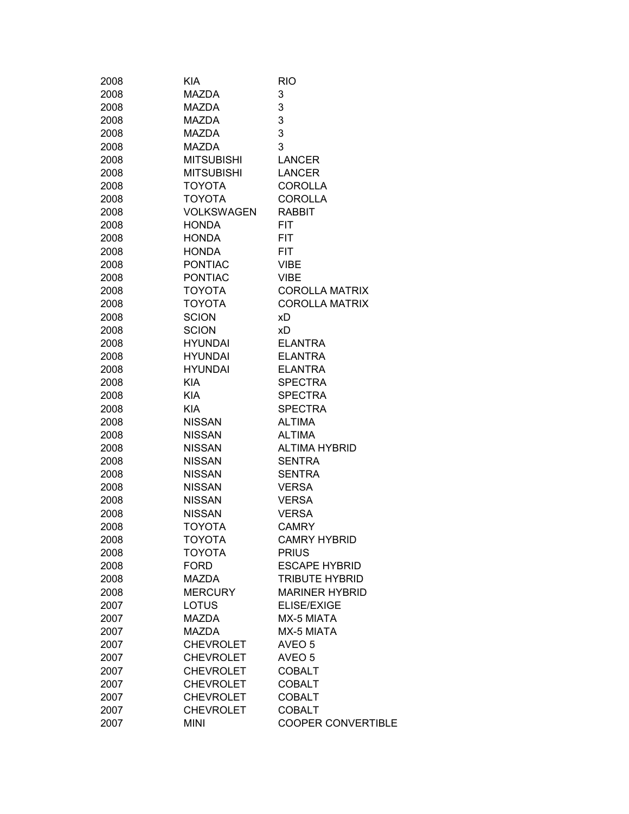| 2008 | KIA               | <b>RIO</b>                |
|------|-------------------|---------------------------|
| 2008 | MAZDA             | 3                         |
| 2008 | MAZDA             | 3                         |
| 2008 | <b>MAZDA</b>      | 3                         |
| 2008 | <b>MAZDA</b>      | 3                         |
| 2008 | <b>MAZDA</b>      | 3                         |
| 2008 | <b>MITSUBISHI</b> | <b>LANCER</b>             |
| 2008 | <b>MITSUBISHI</b> | <b>LANCER</b>             |
| 2008 | <b>TOYOTA</b>     | <b>COROLLA</b>            |
| 2008 | <b>TOYOTA</b>     | <b>COROLLA</b>            |
| 2008 | <b>VOLKSWAGEN</b> | <b>RABBIT</b>             |
| 2008 | <b>HONDA</b>      | <b>FIT</b>                |
| 2008 | <b>HONDA</b>      | <b>FIT</b>                |
| 2008 | <b>HONDA</b>      | <b>FIT</b>                |
| 2008 | <b>PONTIAC</b>    | <b>VIBE</b>               |
| 2008 | <b>PONTIAC</b>    | <b>VIBE</b>               |
| 2008 | <b>TOYOTA</b>     | <b>COROLLA MATRIX</b>     |
| 2008 | <b>TOYOTA</b>     | <b>COROLLA MATRIX</b>     |
| 2008 | <b>SCION</b>      | хD                        |
| 2008 | <b>SCION</b>      | xD                        |
| 2008 | <b>HYUNDAI</b>    | <b>ELANTRA</b>            |
| 2008 | <b>HYUNDAI</b>    | <b>ELANTRA</b>            |
| 2008 | <b>HYUNDAI</b>    | <b>ELANTRA</b>            |
| 2008 | <b>KIA</b>        | <b>SPECTRA</b>            |
| 2008 | <b>KIA</b>        | <b>SPECTRA</b>            |
| 2008 | <b>KIA</b>        | <b>SPECTRA</b>            |
| 2008 | <b>NISSAN</b>     | <b>ALTIMA</b>             |
| 2008 | <b>NISSAN</b>     | <b>ALTIMA</b>             |
| 2008 | <b>NISSAN</b>     | <b>ALTIMA HYBRID</b>      |
| 2008 | <b>NISSAN</b>     | SENTRA                    |
| 2008 | <b>NISSAN</b>     | SENTRA                    |
| 2008 | <b>NISSAN</b>     | <b>VERSA</b>              |
| 2008 | <b>NISSAN</b>     | <b>VERSA</b>              |
| 2008 | <b>NISSAN</b>     | <b>VERSA</b>              |
| 2008 | TOYOTA            | <b>CAMRY</b>              |
| 2008 | ΤΟΥΟΤΑ            | <b>CAMRY HYBRID</b>       |
|      | <b>TOYOTA</b>     | <b>PRIUS</b>              |
| 2008 |                   | <b>ESCAPE HYBRID</b>      |
| 2008 | <b>FORD</b>       |                           |
| 2008 | <b>MAZDA</b>      | <b>TRIBUTE HYBRID</b>     |
| 2008 | <b>MERCURY</b>    | <b>MARINER HYBRID</b>     |
| 2007 | <b>LOTUS</b>      | <b>ELISE/EXIGE</b>        |
| 2007 | <b>MAZDA</b>      | MX-5 MIATA                |
| 2007 | <b>MAZDA</b>      | MX-5 MIATA                |
| 2007 | <b>CHEVROLET</b>  | AVEO 5                    |
| 2007 | <b>CHEVROLET</b>  | AVEO 5                    |
| 2007 | <b>CHEVROLET</b>  | <b>COBALT</b>             |
| 2007 | <b>CHEVROLET</b>  | <b>COBALT</b>             |
| 2007 | <b>CHEVROLET</b>  | <b>COBALT</b>             |
| 2007 | <b>CHEVROLET</b>  | <b>COBALT</b>             |
| 2007 | <b>MINI</b>       | <b>COOPER CONVERTIBLE</b> |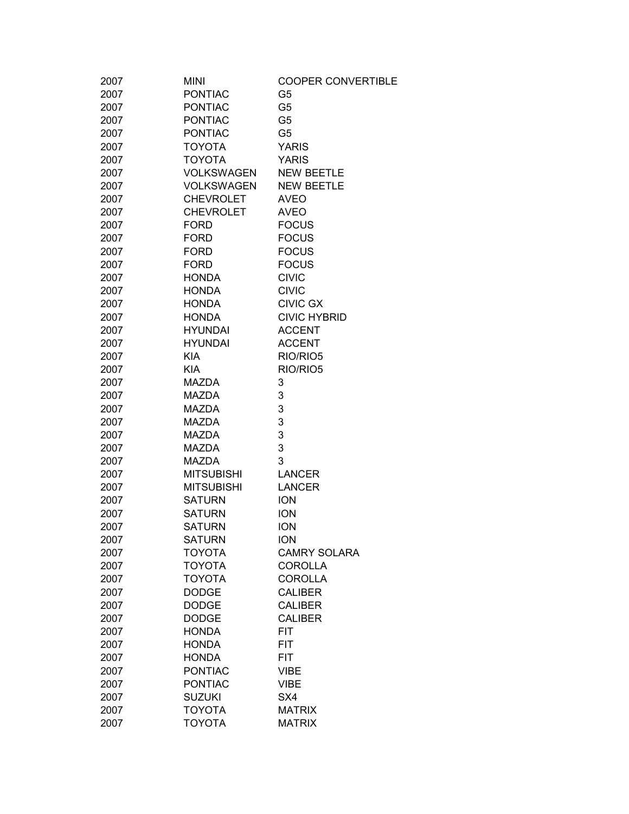| 2007 | <b>MINI</b>       | <b>COOPER CONVERTIBLE</b> |
|------|-------------------|---------------------------|
| 2007 | <b>PONTIAC</b>    | G5                        |
| 2007 | <b>PONTIAC</b>    | G <sub>5</sub>            |
| 2007 | <b>PONTIAC</b>    | G <sub>5</sub>            |
| 2007 | <b>PONTIAC</b>    | G <sub>5</sub>            |
| 2007 | <b>TOYOTA</b>     | <b>YARIS</b>              |
| 2007 | <b>TOYOTA</b>     | <b>YARIS</b>              |
| 2007 | <b>VOLKSWAGEN</b> | <b>NEW BEETLE</b>         |
| 2007 | <b>VOLKSWAGEN</b> | <b>NEW BEETLE</b>         |
| 2007 | <b>CHEVROLET</b>  | <b>AVEO</b>               |
| 2007 | <b>CHEVROLET</b>  | <b>AVEO</b>               |
| 2007 | <b>FORD</b>       | <b>FOCUS</b>              |
| 2007 | <b>FORD</b>       | <b>FOCUS</b>              |
| 2007 | <b>FORD</b>       | <b>FOCUS</b>              |
| 2007 | <b>FORD</b>       | <b>FOCUS</b>              |
| 2007 | <b>HONDA</b>      | <b>CIVIC</b>              |
| 2007 | <b>HONDA</b>      | <b>CIVIC</b>              |
| 2007 | <b>HONDA</b>      | <b>CIVIC GX</b>           |
| 2007 | <b>HONDA</b>      | <b>CIVIC HYBRID</b>       |
| 2007 | <b>HYUNDAI</b>    | <b>ACCENT</b>             |
| 2007 | <b>HYUNDAI</b>    | <b>ACCENT</b>             |
| 2007 | <b>KIA</b>        | RIO/RIO5                  |
| 2007 | <b>KIA</b>        | RIO/RIO5                  |
|      |                   |                           |
| 2007 | <b>MAZDA</b>      | 3                         |
| 2007 | <b>MAZDA</b>      | 3                         |
| 2007 | <b>MAZDA</b>      | 3                         |
| 2007 | <b>MAZDA</b>      | 3                         |
| 2007 | <b>MAZDA</b>      | 3                         |
| 2007 | <b>MAZDA</b>      | 3                         |
| 2007 | <b>MAZDA</b>      | 3                         |
| 2007 | <b>MITSUBISHI</b> | <b>LANCER</b>             |
| 2007 | <b>MITSUBISHI</b> | <b>LANCER</b>             |
| 2007 | <b>SATURN</b>     | <b>ION</b>                |
| 2007 | <b>SATURN</b>     | <b>ION</b>                |
| 2007 | <b>SATURN</b>     | <b>ION</b>                |
| 2007 | <b>SATURN</b>     | <b>ION</b>                |
| 2007 | <b>TOYOTA</b>     | <b>CAMRY SOLARA</b>       |
| 2007 | <b>TOYOTA</b>     | <b>COROLLA</b>            |
| 2007 | <b>TOYOTA</b>     | <b>COROLLA</b>            |
| 2007 | <b>DODGE</b>      | <b>CALIBER</b>            |
| 2007 | <b>DODGE</b>      | <b>CALIBER</b>            |
| 2007 | <b>DODGE</b>      | <b>CALIBER</b>            |
| 2007 | <b>HONDA</b>      | <b>FIT</b>                |
| 2007 | <b>HONDA</b>      | <b>FIT</b>                |
| 2007 | <b>HONDA</b>      | <b>FIT</b>                |
| 2007 | <b>PONTIAC</b>    | VIBE                      |
| 2007 | <b>PONTIAC</b>    | VIBE                      |
| 2007 | <b>SUZUKI</b>     | SX4                       |
| 2007 | <b>TOYOTA</b>     | <b>MATRIX</b>             |
| 2007 | <b>TOYOTA</b>     | <b>MATRIX</b>             |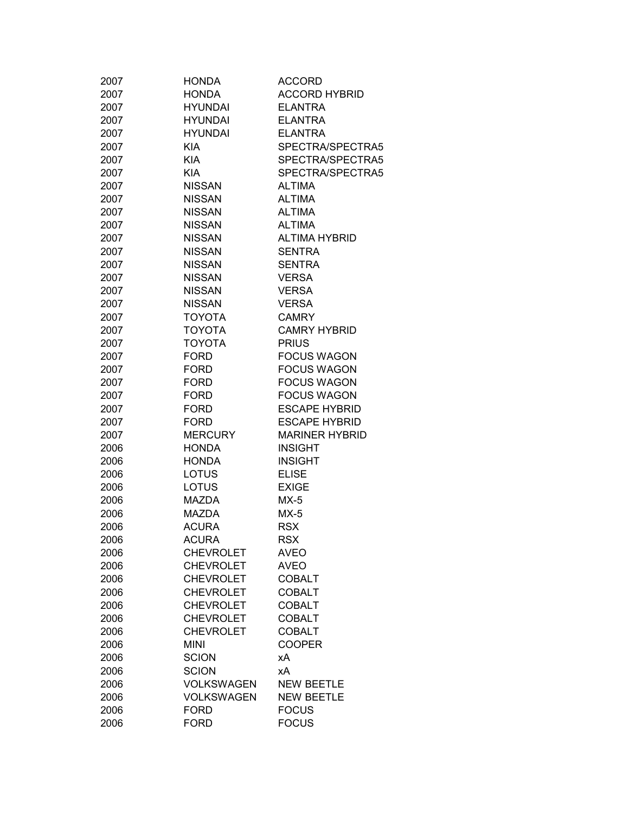| 2007 | <b>HONDA</b>      | <b>ACCORD</b>         |
|------|-------------------|-----------------------|
| 2007 | <b>HONDA</b>      | <b>ACCORD HYBRID</b>  |
| 2007 | <b>HYUNDAI</b>    | <b>ELANTRA</b>        |
| 2007 | <b>HYUNDAI</b>    | <b>ELANTRA</b>        |
| 2007 | <b>HYUNDAI</b>    | <b>ELANTRA</b>        |
| 2007 | <b>KIA</b>        | SPECTRA/SPECTRA5      |
| 2007 | <b>KIA</b>        | SPECTRA/SPECTRA5      |
| 2007 | <b>KIA</b>        | SPECTRA/SPECTRA5      |
| 2007 | <b>NISSAN</b>     | <b>ALTIMA</b>         |
| 2007 | <b>NISSAN</b>     | <b>ALTIMA</b>         |
| 2007 | <b>NISSAN</b>     | <b>ALTIMA</b>         |
| 2007 | <b>NISSAN</b>     | <b>ALTIMA</b>         |
| 2007 | <b>NISSAN</b>     | <b>ALTIMA HYBRID</b>  |
| 2007 | <b>NISSAN</b>     | <b>SENTRA</b>         |
| 2007 | <b>NISSAN</b>     | <b>SENTRA</b>         |
| 2007 | <b>NISSAN</b>     | <b>VERSA</b>          |
| 2007 | <b>NISSAN</b>     | <b>VERSA</b>          |
| 2007 | <b>NISSAN</b>     | <b>VERSA</b>          |
| 2007 | <b>TOYOTA</b>     | <b>CAMRY</b>          |
| 2007 | <b>TOYOTA</b>     | <b>CAMRY HYBRID</b>   |
| 2007 | <b>TOYOTA</b>     | <b>PRIUS</b>          |
| 2007 | <b>FORD</b>       | <b>FOCUS WAGON</b>    |
| 2007 | <b>FORD</b>       | <b>FOCUS WAGON</b>    |
| 2007 | <b>FORD</b>       | <b>FOCUS WAGON</b>    |
| 2007 | <b>FORD</b>       | <b>FOCUS WAGON</b>    |
| 2007 | <b>FORD</b>       | <b>ESCAPE HYBRID</b>  |
| 2007 | <b>FORD</b>       | <b>ESCAPE HYBRID</b>  |
| 2007 | <b>MERCURY</b>    | <b>MARINER HYBRID</b> |
| 2006 | <b>HONDA</b>      | <b>INSIGHT</b>        |
| 2006 | <b>HONDA</b>      | <b>INSIGHT</b>        |
| 2006 | <b>LOTUS</b>      | <b>ELISE</b>          |
|      | LOTUS             | <b>EXIGE</b>          |
| 2006 | <b>MAZDA</b>      | $MX-5$                |
| 2006 |                   | $MX-5$                |
| 2006 | MAZDA             |                       |
| 2006 | <b>ACURA</b>      | <b>RSX</b>            |
| 2006 | ACURA             | RSX                   |
| 2006 | <b>CHEVROLET</b>  | <b>AVEO</b>           |
| 2006 | <b>CHEVROLET</b>  | <b>AVEO</b>           |
| 2006 | <b>CHEVROLET</b>  | <b>COBALT</b>         |
| 2006 | <b>CHEVROLET</b>  | <b>COBALT</b>         |
| 2006 | <b>CHEVROLET</b>  | <b>COBALT</b>         |
| 2006 | <b>CHEVROLET</b>  | <b>COBALT</b>         |
| 2006 | <b>CHEVROLET</b>  | <b>COBALT</b>         |
| 2006 | <b>MINI</b>       | <b>COOPER</b>         |
| 2006 | <b>SCION</b>      | хA                    |
| 2006 | <b>SCION</b>      | хA                    |
| 2006 | <b>VOLKSWAGEN</b> | <b>NEW BEETLE</b>     |
| 2006 | <b>VOLKSWAGEN</b> | <b>NEW BEETLE</b>     |
| 2006 | <b>FORD</b>       | <b>FOCUS</b>          |
| 2006 | <b>FORD</b>       | <b>FOCUS</b>          |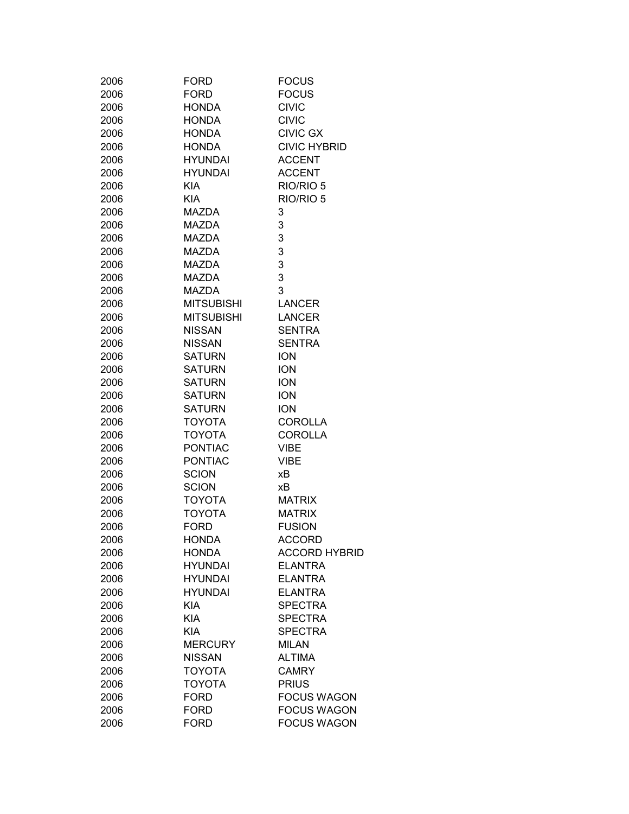| 2006 | FORD              | <b>FOCUS</b>         |
|------|-------------------|----------------------|
| 2006 | <b>FORD</b>       | <b>FOCUS</b>         |
| 2006 | <b>HONDA</b>      | <b>CIVIC</b>         |
| 2006 | <b>HONDA</b>      | <b>CIVIC</b>         |
|      |                   | <b>CIVIC GX</b>      |
| 2006 | <b>HONDA</b>      |                      |
| 2006 | <b>HONDA</b>      | <b>CIVIC HYBRID</b>  |
| 2006 | <b>HYUNDAI</b>    | <b>ACCENT</b>        |
| 2006 | HYUNDAI           | <b>ACCENT</b>        |
| 2006 | <b>KIA</b>        | RIO/RIO 5            |
| 2006 | <b>KIA</b>        | RIO/RIO 5            |
| 2006 | MAZDA             | 3                    |
| 2006 | MAZDA             | 3                    |
| 2006 | MAZDA             | 3                    |
| 2006 | MAZDA             | 3                    |
| 2006 | MAZDA             | 3                    |
| 2006 | <b>MAZDA</b>      | 3                    |
| 2006 | MAZDA             | 3                    |
| 2006 | <b>MITSUBISHI</b> | <b>LANCER</b>        |
| 2006 | MITSUBISHI        | <b>LANCER</b>        |
| 2006 | <b>NISSAN</b>     | <b>SENTRA</b>        |
| 2006 | <b>NISSAN</b>     | <b>SENTRA</b>        |
| 2006 | SATURN            | <b>ION</b>           |
| 2006 | SATURN            | <b>ION</b>           |
| 2006 | SATURN            | <b>ION</b>           |
| 2006 | <b>SATURN</b>     | <b>ION</b>           |
| 2006 | <b>SATURN</b>     | <b>ION</b>           |
| 2006 | <b>TOYOTA</b>     | <b>COROLLA</b>       |
| 2006 | TOYOTA            | <b>COROLLA</b>       |
|      |                   |                      |
| 2006 | <b>PONTIAC</b>    | <b>VIBE</b>          |
| 2006 | <b>PONTIAC</b>    | <b>VIBE</b>          |
| 2006 | <b>SCION</b>      | хB                   |
| 2006 | <b>SCION</b>      | хB                   |
| 2006 | ΤΟΥΟΤΑ            | <b>MATRIX</b>        |
| 2006 | <b>TOYOTA</b>     | <b>MATRIX</b>        |
| 2006 | <b>FORD</b>       | <b>FUSION</b>        |
| 2006 | <b>HONDA</b>      | ACCORD               |
| 2006 | <b>HONDA</b>      | <b>ACCORD HYBRID</b> |
| 2006 | <b>HYUNDAI</b>    | <b>ELANTRA</b>       |
| 2006 | <b>HYUNDAI</b>    | <b>ELANTRA</b>       |
| 2006 | <b>HYUNDAI</b>    | <b>ELANTRA</b>       |
| 2006 | <b>KIA</b>        | <b>SPECTRA</b>       |
| 2006 | <b>KIA</b>        | <b>SPECTRA</b>       |
| 2006 | <b>KIA</b>        | <b>SPECTRA</b>       |
| 2006 | <b>MERCURY</b>    | <b>MILAN</b>         |
| 2006 | <b>NISSAN</b>     | <b>ALTIMA</b>        |
| 2006 | <b>TOYOTA</b>     | <b>CAMRY</b>         |
| 2006 | <b>TOYOTA</b>     | <b>PRIUS</b>         |
| 2006 | <b>FORD</b>       | <b>FOCUS WAGON</b>   |
| 2006 | <b>FORD</b>       | <b>FOCUS WAGON</b>   |
| 2006 | <b>FORD</b>       | <b>FOCUS WAGON</b>   |
|      |                   |                      |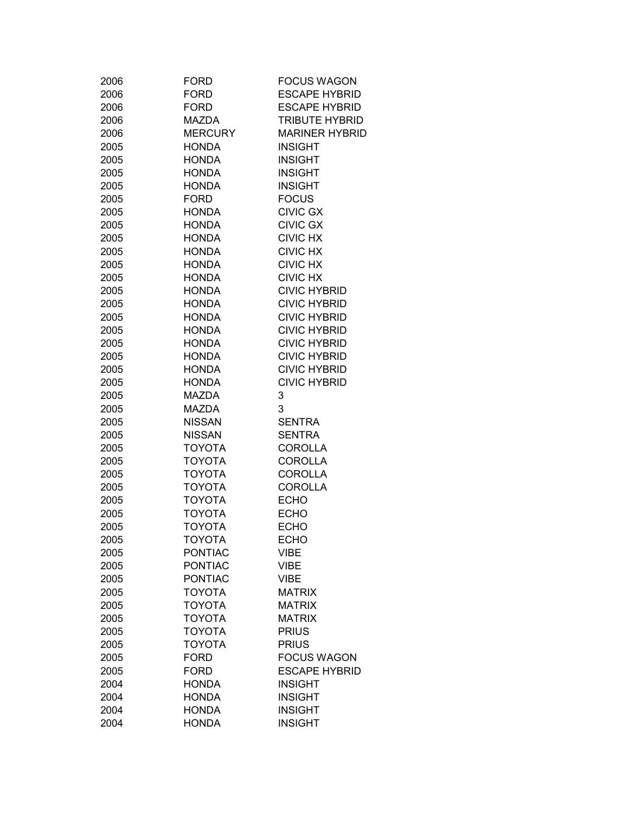| 2006<br><b>FORD</b><br><b>ESCAPE HYBRID</b><br>2006<br><b>FORD</b><br><b>ESCAPE HYBRID</b><br><b>TRIBUTE HYBRID</b><br>2006<br><b>MAZDA</b><br><b>MERCURY</b><br>2006<br><b>MARINER HYBRID</b><br>2005<br><b>HONDA</b><br><b>INSIGHT</b><br><b>INSIGHT</b><br>2005<br><b>HONDA</b><br>2005<br><b>HONDA</b><br><b>INSIGHT</b><br>2005<br><b>HONDA</b><br><b>INSIGHT</b><br><b>FOCUS</b><br>2005<br><b>FORD</b><br><b>CIVIC GX</b><br>2005<br><b>HONDA</b><br><b>CIVIC GX</b><br>2005<br><b>HONDA</b><br><b>CIVIC HX</b><br>2005<br><b>HONDA</b><br><b>CIVIC HX</b><br>2005<br><b>HONDA</b><br><b>CIVIC HX</b><br>2005<br><b>HONDA</b><br><b>CIVIC HX</b><br>2005<br><b>HONDA</b><br><b>CIVIC HYBRID</b><br>2005<br><b>HONDA</b><br><b>CIVIC HYBRID</b><br>2005<br><b>HONDA</b><br><b>CIVIC HYBRID</b><br>2005<br><b>HONDA</b><br>2005<br><b>HONDA</b><br><b>CIVIC HYBRID</b><br><b>CIVIC HYBRID</b><br>2005<br><b>HONDA</b><br><b>CIVIC HYBRID</b><br>2005<br><b>HONDA</b><br><b>CIVIC HYBRID</b><br>2005<br><b>HONDA</b><br><b>CIVIC HYBRID</b><br>2005<br><b>HONDA</b><br><b>MAZDA</b><br>3<br>2005<br>3<br>2005<br><b>MAZDA</b><br><b>NISSAN</b><br>2005<br><b>SENTRA</b><br><b>NISSAN</b><br><b>SENTRA</b><br>2005<br><b>TOYOTA</b><br>2005<br><b>COROLLA</b><br><b>TOYOTA</b><br>2005<br><b>COROLLA</b><br><b>TOYOTA</b><br><b>COROLLA</b><br>2005<br><b>TOYOTA</b><br><b>COROLLA</b><br>2005<br><b>TOYOTA</b><br><b>ECHO</b><br>2005<br><b>TOYOTA</b><br><b>ECHO</b><br>2005<br><b>TOYOTA</b><br><b>ECHO</b><br>2005<br>2005<br>ΤΟΥΟΤΑ<br>ECHO<br><b>PONTIAC</b><br>2005<br>VIBE<br><b>PONTIAC</b><br><b>VIBE</b><br>2005<br><b>PONTIAC</b><br><b>VIBE</b><br>2005<br><b>TOYOTA</b><br><b>MATRIX</b><br>2005<br><b>TOYOTA</b><br><b>MATRIX</b><br>2005<br><b>TOYOTA</b><br>2005<br><b>MATRIX</b><br><b>TOYOTA</b><br><b>PRIUS</b><br>2005<br><b>TOYOTA</b><br><b>PRIUS</b><br>2005<br><b>FOCUS WAGON</b><br>2005<br><b>FORD</b><br><b>ESCAPE HYBRID</b><br>2005<br><b>FORD</b><br><b>INSIGHT</b><br>2004<br><b>HONDA</b><br><b>INSIGHT</b><br>2004<br><b>HONDA</b><br><b>INSIGHT</b><br>2004<br><b>HONDA</b><br>2004<br><b>HONDA</b><br><b>INSIGHT</b> | 2006 | <b>FORD</b> | <b>FOCUS WAGON</b> |
|-------------------------------------------------------------------------------------------------------------------------------------------------------------------------------------------------------------------------------------------------------------------------------------------------------------------------------------------------------------------------------------------------------------------------------------------------------------------------------------------------------------------------------------------------------------------------------------------------------------------------------------------------------------------------------------------------------------------------------------------------------------------------------------------------------------------------------------------------------------------------------------------------------------------------------------------------------------------------------------------------------------------------------------------------------------------------------------------------------------------------------------------------------------------------------------------------------------------------------------------------------------------------------------------------------------------------------------------------------------------------------------------------------------------------------------------------------------------------------------------------------------------------------------------------------------------------------------------------------------------------------------------------------------------------------------------------------------------------------------------------------------------------------------------------------------------------------------------------------------------------------------------------------------------------------------------------------------------------------------------------------------------------------------------------------------------------------------------------------------------------------------------------------------|------|-------------|--------------------|
|                                                                                                                                                                                                                                                                                                                                                                                                                                                                                                                                                                                                                                                                                                                                                                                                                                                                                                                                                                                                                                                                                                                                                                                                                                                                                                                                                                                                                                                                                                                                                                                                                                                                                                                                                                                                                                                                                                                                                                                                                                                                                                                                                             |      |             |                    |
|                                                                                                                                                                                                                                                                                                                                                                                                                                                                                                                                                                                                                                                                                                                                                                                                                                                                                                                                                                                                                                                                                                                                                                                                                                                                                                                                                                                                                                                                                                                                                                                                                                                                                                                                                                                                                                                                                                                                                                                                                                                                                                                                                             |      |             |                    |
|                                                                                                                                                                                                                                                                                                                                                                                                                                                                                                                                                                                                                                                                                                                                                                                                                                                                                                                                                                                                                                                                                                                                                                                                                                                                                                                                                                                                                                                                                                                                                                                                                                                                                                                                                                                                                                                                                                                                                                                                                                                                                                                                                             |      |             |                    |
|                                                                                                                                                                                                                                                                                                                                                                                                                                                                                                                                                                                                                                                                                                                                                                                                                                                                                                                                                                                                                                                                                                                                                                                                                                                                                                                                                                                                                                                                                                                                                                                                                                                                                                                                                                                                                                                                                                                                                                                                                                                                                                                                                             |      |             |                    |
|                                                                                                                                                                                                                                                                                                                                                                                                                                                                                                                                                                                                                                                                                                                                                                                                                                                                                                                                                                                                                                                                                                                                                                                                                                                                                                                                                                                                                                                                                                                                                                                                                                                                                                                                                                                                                                                                                                                                                                                                                                                                                                                                                             |      |             |                    |
|                                                                                                                                                                                                                                                                                                                                                                                                                                                                                                                                                                                                                                                                                                                                                                                                                                                                                                                                                                                                                                                                                                                                                                                                                                                                                                                                                                                                                                                                                                                                                                                                                                                                                                                                                                                                                                                                                                                                                                                                                                                                                                                                                             |      |             |                    |
|                                                                                                                                                                                                                                                                                                                                                                                                                                                                                                                                                                                                                                                                                                                                                                                                                                                                                                                                                                                                                                                                                                                                                                                                                                                                                                                                                                                                                                                                                                                                                                                                                                                                                                                                                                                                                                                                                                                                                                                                                                                                                                                                                             |      |             |                    |
|                                                                                                                                                                                                                                                                                                                                                                                                                                                                                                                                                                                                                                                                                                                                                                                                                                                                                                                                                                                                                                                                                                                                                                                                                                                                                                                                                                                                                                                                                                                                                                                                                                                                                                                                                                                                                                                                                                                                                                                                                                                                                                                                                             |      |             |                    |
|                                                                                                                                                                                                                                                                                                                                                                                                                                                                                                                                                                                                                                                                                                                                                                                                                                                                                                                                                                                                                                                                                                                                                                                                                                                                                                                                                                                                                                                                                                                                                                                                                                                                                                                                                                                                                                                                                                                                                                                                                                                                                                                                                             |      |             |                    |
|                                                                                                                                                                                                                                                                                                                                                                                                                                                                                                                                                                                                                                                                                                                                                                                                                                                                                                                                                                                                                                                                                                                                                                                                                                                                                                                                                                                                                                                                                                                                                                                                                                                                                                                                                                                                                                                                                                                                                                                                                                                                                                                                                             |      |             |                    |
|                                                                                                                                                                                                                                                                                                                                                                                                                                                                                                                                                                                                                                                                                                                                                                                                                                                                                                                                                                                                                                                                                                                                                                                                                                                                                                                                                                                                                                                                                                                                                                                                                                                                                                                                                                                                                                                                                                                                                                                                                                                                                                                                                             |      |             |                    |
|                                                                                                                                                                                                                                                                                                                                                                                                                                                                                                                                                                                                                                                                                                                                                                                                                                                                                                                                                                                                                                                                                                                                                                                                                                                                                                                                                                                                                                                                                                                                                                                                                                                                                                                                                                                                                                                                                                                                                                                                                                                                                                                                                             |      |             |                    |
|                                                                                                                                                                                                                                                                                                                                                                                                                                                                                                                                                                                                                                                                                                                                                                                                                                                                                                                                                                                                                                                                                                                                                                                                                                                                                                                                                                                                                                                                                                                                                                                                                                                                                                                                                                                                                                                                                                                                                                                                                                                                                                                                                             |      |             |                    |
|                                                                                                                                                                                                                                                                                                                                                                                                                                                                                                                                                                                                                                                                                                                                                                                                                                                                                                                                                                                                                                                                                                                                                                                                                                                                                                                                                                                                                                                                                                                                                                                                                                                                                                                                                                                                                                                                                                                                                                                                                                                                                                                                                             |      |             |                    |
|                                                                                                                                                                                                                                                                                                                                                                                                                                                                                                                                                                                                                                                                                                                                                                                                                                                                                                                                                                                                                                                                                                                                                                                                                                                                                                                                                                                                                                                                                                                                                                                                                                                                                                                                                                                                                                                                                                                                                                                                                                                                                                                                                             |      |             |                    |
|                                                                                                                                                                                                                                                                                                                                                                                                                                                                                                                                                                                                                                                                                                                                                                                                                                                                                                                                                                                                                                                                                                                                                                                                                                                                                                                                                                                                                                                                                                                                                                                                                                                                                                                                                                                                                                                                                                                                                                                                                                                                                                                                                             |      |             |                    |
|                                                                                                                                                                                                                                                                                                                                                                                                                                                                                                                                                                                                                                                                                                                                                                                                                                                                                                                                                                                                                                                                                                                                                                                                                                                                                                                                                                                                                                                                                                                                                                                                                                                                                                                                                                                                                                                                                                                                                                                                                                                                                                                                                             |      |             |                    |
|                                                                                                                                                                                                                                                                                                                                                                                                                                                                                                                                                                                                                                                                                                                                                                                                                                                                                                                                                                                                                                                                                                                                                                                                                                                                                                                                                                                                                                                                                                                                                                                                                                                                                                                                                                                                                                                                                                                                                                                                                                                                                                                                                             |      |             |                    |
|                                                                                                                                                                                                                                                                                                                                                                                                                                                                                                                                                                                                                                                                                                                                                                                                                                                                                                                                                                                                                                                                                                                                                                                                                                                                                                                                                                                                                                                                                                                                                                                                                                                                                                                                                                                                                                                                                                                                                                                                                                                                                                                                                             |      |             |                    |
|                                                                                                                                                                                                                                                                                                                                                                                                                                                                                                                                                                                                                                                                                                                                                                                                                                                                                                                                                                                                                                                                                                                                                                                                                                                                                                                                                                                                                                                                                                                                                                                                                                                                                                                                                                                                                                                                                                                                                                                                                                                                                                                                                             |      |             |                    |
|                                                                                                                                                                                                                                                                                                                                                                                                                                                                                                                                                                                                                                                                                                                                                                                                                                                                                                                                                                                                                                                                                                                                                                                                                                                                                                                                                                                                                                                                                                                                                                                                                                                                                                                                                                                                                                                                                                                                                                                                                                                                                                                                                             |      |             |                    |
|                                                                                                                                                                                                                                                                                                                                                                                                                                                                                                                                                                                                                                                                                                                                                                                                                                                                                                                                                                                                                                                                                                                                                                                                                                                                                                                                                                                                                                                                                                                                                                                                                                                                                                                                                                                                                                                                                                                                                                                                                                                                                                                                                             |      |             |                    |
|                                                                                                                                                                                                                                                                                                                                                                                                                                                                                                                                                                                                                                                                                                                                                                                                                                                                                                                                                                                                                                                                                                                                                                                                                                                                                                                                                                                                                                                                                                                                                                                                                                                                                                                                                                                                                                                                                                                                                                                                                                                                                                                                                             |      |             |                    |
|                                                                                                                                                                                                                                                                                                                                                                                                                                                                                                                                                                                                                                                                                                                                                                                                                                                                                                                                                                                                                                                                                                                                                                                                                                                                                                                                                                                                                                                                                                                                                                                                                                                                                                                                                                                                                                                                                                                                                                                                                                                                                                                                                             |      |             |                    |
|                                                                                                                                                                                                                                                                                                                                                                                                                                                                                                                                                                                                                                                                                                                                                                                                                                                                                                                                                                                                                                                                                                                                                                                                                                                                                                                                                                                                                                                                                                                                                                                                                                                                                                                                                                                                                                                                                                                                                                                                                                                                                                                                                             |      |             |                    |
|                                                                                                                                                                                                                                                                                                                                                                                                                                                                                                                                                                                                                                                                                                                                                                                                                                                                                                                                                                                                                                                                                                                                                                                                                                                                                                                                                                                                                                                                                                                                                                                                                                                                                                                                                                                                                                                                                                                                                                                                                                                                                                                                                             |      |             |                    |
|                                                                                                                                                                                                                                                                                                                                                                                                                                                                                                                                                                                                                                                                                                                                                                                                                                                                                                                                                                                                                                                                                                                                                                                                                                                                                                                                                                                                                                                                                                                                                                                                                                                                                                                                                                                                                                                                                                                                                                                                                                                                                                                                                             |      |             |                    |
|                                                                                                                                                                                                                                                                                                                                                                                                                                                                                                                                                                                                                                                                                                                                                                                                                                                                                                                                                                                                                                                                                                                                                                                                                                                                                                                                                                                                                                                                                                                                                                                                                                                                                                                                                                                                                                                                                                                                                                                                                                                                                                                                                             |      |             |                    |
|                                                                                                                                                                                                                                                                                                                                                                                                                                                                                                                                                                                                                                                                                                                                                                                                                                                                                                                                                                                                                                                                                                                                                                                                                                                                                                                                                                                                                                                                                                                                                                                                                                                                                                                                                                                                                                                                                                                                                                                                                                                                                                                                                             |      |             |                    |
|                                                                                                                                                                                                                                                                                                                                                                                                                                                                                                                                                                                                                                                                                                                                                                                                                                                                                                                                                                                                                                                                                                                                                                                                                                                                                                                                                                                                                                                                                                                                                                                                                                                                                                                                                                                                                                                                                                                                                                                                                                                                                                                                                             |      |             |                    |
|                                                                                                                                                                                                                                                                                                                                                                                                                                                                                                                                                                                                                                                                                                                                                                                                                                                                                                                                                                                                                                                                                                                                                                                                                                                                                                                                                                                                                                                                                                                                                                                                                                                                                                                                                                                                                                                                                                                                                                                                                                                                                                                                                             |      |             |                    |
|                                                                                                                                                                                                                                                                                                                                                                                                                                                                                                                                                                                                                                                                                                                                                                                                                                                                                                                                                                                                                                                                                                                                                                                                                                                                                                                                                                                                                                                                                                                                                                                                                                                                                                                                                                                                                                                                                                                                                                                                                                                                                                                                                             |      |             |                    |
|                                                                                                                                                                                                                                                                                                                                                                                                                                                                                                                                                                                                                                                                                                                                                                                                                                                                                                                                                                                                                                                                                                                                                                                                                                                                                                                                                                                                                                                                                                                                                                                                                                                                                                                                                                                                                                                                                                                                                                                                                                                                                                                                                             |      |             |                    |
|                                                                                                                                                                                                                                                                                                                                                                                                                                                                                                                                                                                                                                                                                                                                                                                                                                                                                                                                                                                                                                                                                                                                                                                                                                                                                                                                                                                                                                                                                                                                                                                                                                                                                                                                                                                                                                                                                                                                                                                                                                                                                                                                                             |      |             |                    |
|                                                                                                                                                                                                                                                                                                                                                                                                                                                                                                                                                                                                                                                                                                                                                                                                                                                                                                                                                                                                                                                                                                                                                                                                                                                                                                                                                                                                                                                                                                                                                                                                                                                                                                                                                                                                                                                                                                                                                                                                                                                                                                                                                             |      |             |                    |
|                                                                                                                                                                                                                                                                                                                                                                                                                                                                                                                                                                                                                                                                                                                                                                                                                                                                                                                                                                                                                                                                                                                                                                                                                                                                                                                                                                                                                                                                                                                                                                                                                                                                                                                                                                                                                                                                                                                                                                                                                                                                                                                                                             |      |             |                    |
|                                                                                                                                                                                                                                                                                                                                                                                                                                                                                                                                                                                                                                                                                                                                                                                                                                                                                                                                                                                                                                                                                                                                                                                                                                                                                                                                                                                                                                                                                                                                                                                                                                                                                                                                                                                                                                                                                                                                                                                                                                                                                                                                                             |      |             |                    |
|                                                                                                                                                                                                                                                                                                                                                                                                                                                                                                                                                                                                                                                                                                                                                                                                                                                                                                                                                                                                                                                                                                                                                                                                                                                                                                                                                                                                                                                                                                                                                                                                                                                                                                                                                                                                                                                                                                                                                                                                                                                                                                                                                             |      |             |                    |
|                                                                                                                                                                                                                                                                                                                                                                                                                                                                                                                                                                                                                                                                                                                                                                                                                                                                                                                                                                                                                                                                                                                                                                                                                                                                                                                                                                                                                                                                                                                                                                                                                                                                                                                                                                                                                                                                                                                                                                                                                                                                                                                                                             |      |             |                    |
|                                                                                                                                                                                                                                                                                                                                                                                                                                                                                                                                                                                                                                                                                                                                                                                                                                                                                                                                                                                                                                                                                                                                                                                                                                                                                                                                                                                                                                                                                                                                                                                                                                                                                                                                                                                                                                                                                                                                                                                                                                                                                                                                                             |      |             |                    |
|                                                                                                                                                                                                                                                                                                                                                                                                                                                                                                                                                                                                                                                                                                                                                                                                                                                                                                                                                                                                                                                                                                                                                                                                                                                                                                                                                                                                                                                                                                                                                                                                                                                                                                                                                                                                                                                                                                                                                                                                                                                                                                                                                             |      |             |                    |
|                                                                                                                                                                                                                                                                                                                                                                                                                                                                                                                                                                                                                                                                                                                                                                                                                                                                                                                                                                                                                                                                                                                                                                                                                                                                                                                                                                                                                                                                                                                                                                                                                                                                                                                                                                                                                                                                                                                                                                                                                                                                                                                                                             |      |             |                    |
|                                                                                                                                                                                                                                                                                                                                                                                                                                                                                                                                                                                                                                                                                                                                                                                                                                                                                                                                                                                                                                                                                                                                                                                                                                                                                                                                                                                                                                                                                                                                                                                                                                                                                                                                                                                                                                                                                                                                                                                                                                                                                                                                                             |      |             |                    |
|                                                                                                                                                                                                                                                                                                                                                                                                                                                                                                                                                                                                                                                                                                                                                                                                                                                                                                                                                                                                                                                                                                                                                                                                                                                                                                                                                                                                                                                                                                                                                                                                                                                                                                                                                                                                                                                                                                                                                                                                                                                                                                                                                             |      |             |                    |
|                                                                                                                                                                                                                                                                                                                                                                                                                                                                                                                                                                                                                                                                                                                                                                                                                                                                                                                                                                                                                                                                                                                                                                                                                                                                                                                                                                                                                                                                                                                                                                                                                                                                                                                                                                                                                                                                                                                                                                                                                                                                                                                                                             |      |             |                    |
|                                                                                                                                                                                                                                                                                                                                                                                                                                                                                                                                                                                                                                                                                                                                                                                                                                                                                                                                                                                                                                                                                                                                                                                                                                                                                                                                                                                                                                                                                                                                                                                                                                                                                                                                                                                                                                                                                                                                                                                                                                                                                                                                                             |      |             |                    |
|                                                                                                                                                                                                                                                                                                                                                                                                                                                                                                                                                                                                                                                                                                                                                                                                                                                                                                                                                                                                                                                                                                                                                                                                                                                                                                                                                                                                                                                                                                                                                                                                                                                                                                                                                                                                                                                                                                                                                                                                                                                                                                                                                             |      |             |                    |
|                                                                                                                                                                                                                                                                                                                                                                                                                                                                                                                                                                                                                                                                                                                                                                                                                                                                                                                                                                                                                                                                                                                                                                                                                                                                                                                                                                                                                                                                                                                                                                                                                                                                                                                                                                                                                                                                                                                                                                                                                                                                                                                                                             |      |             |                    |
|                                                                                                                                                                                                                                                                                                                                                                                                                                                                                                                                                                                                                                                                                                                                                                                                                                                                                                                                                                                                                                                                                                                                                                                                                                                                                                                                                                                                                                                                                                                                                                                                                                                                                                                                                                                                                                                                                                                                                                                                                                                                                                                                                             |      |             |                    |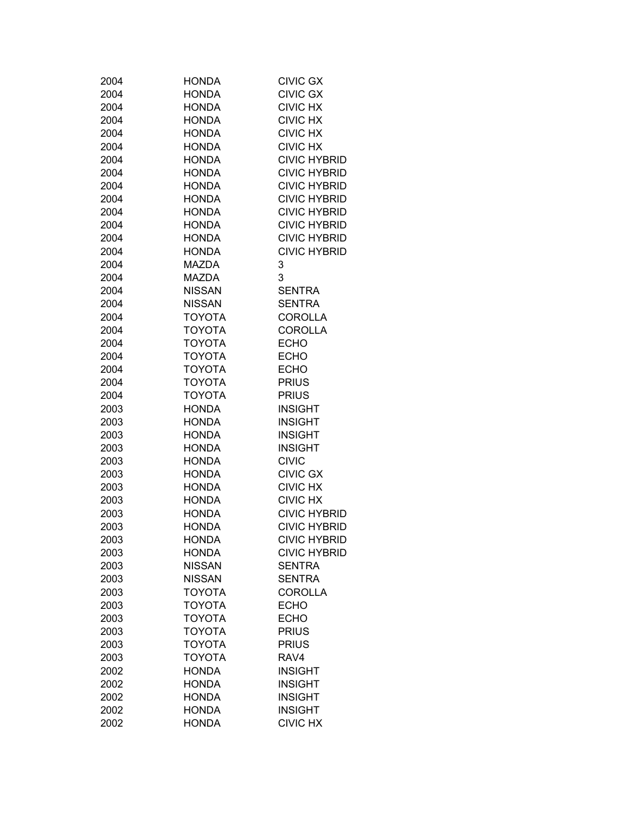| 2004 | <b>HONDA</b>  | <b>CIVIC GX</b>     |
|------|---------------|---------------------|
| 2004 | <b>HONDA</b>  | <b>CIVIC GX</b>     |
| 2004 | <b>HONDA</b>  | <b>CIVIC HX</b>     |
| 2004 | <b>HONDA</b>  | <b>CIVIC HX</b>     |
| 2004 | <b>HONDA</b>  | <b>CIVIC HX</b>     |
| 2004 | <b>HONDA</b>  | <b>CIVIC HX</b>     |
| 2004 | <b>HONDA</b>  | <b>CIVIC HYBRID</b> |
| 2004 | <b>HONDA</b>  | <b>CIVIC HYBRID</b> |
| 2004 | <b>HONDA</b>  | <b>CIVIC HYBRID</b> |
| 2004 | <b>HONDA</b>  | <b>CIVIC HYBRID</b> |
| 2004 | <b>HONDA</b>  | <b>CIVIC HYBRID</b> |
| 2004 | <b>HONDA</b>  | <b>CIVIC HYBRID</b> |
| 2004 | <b>HONDA</b>  | <b>CIVIC HYBRID</b> |
| 2004 | <b>HONDA</b>  | <b>CIVIC HYBRID</b> |
| 2004 | MAZDA         | 3                   |
| 2004 | <b>MAZDA</b>  | 3                   |
| 2004 | <b>NISSAN</b> | <b>SENTRA</b>       |
| 2004 | <b>NISSAN</b> | <b>SENTRA</b>       |
| 2004 | <b>TOYOTA</b> | <b>COROLLA</b>      |
| 2004 | <b>TOYOTA</b> | <b>COROLLA</b>      |
| 2004 | <b>TOYOTA</b> | <b>ECHO</b>         |
| 2004 | <b>TOYOTA</b> | <b>ECHO</b>         |
| 2004 | <b>TOYOTA</b> | <b>ECHO</b>         |
| 2004 | <b>TOYOTA</b> | <b>PRIUS</b>        |
| 2004 | <b>TOYOTA</b> | <b>PRIUS</b>        |
| 2003 | <b>HONDA</b>  | <b>INSIGHT</b>      |
|      | <b>HONDA</b>  | <b>INSIGHT</b>      |
| 2003 | <b>HONDA</b>  | <b>INSIGHT</b>      |
| 2003 |               |                     |
| 2003 | <b>HONDA</b>  | <b>INSIGHT</b>      |
| 2003 | <b>HONDA</b>  | <b>CIVIC</b>        |
| 2003 | <b>HONDA</b>  | <b>CIVIC GX</b>     |
| 2003 | <b>HONDA</b>  | <b>CIVIC HX</b>     |
| 2003 | <b>HONDA</b>  | <b>CIVIC HX</b>     |
| 2003 | <b>HONDA</b>  | <b>CIVIC HYBRID</b> |
| 2003 | <b>HONDA</b>  | <b>CIVIC HYBRID</b> |
| 2003 | <b>HONDA</b>  | <b>CIVIC HYBRID</b> |
| 2003 | <b>HONDA</b>  | <b>CIVIC HYBRID</b> |
| 2003 | <b>NISSAN</b> | <b>SENTRA</b>       |
| 2003 | <b>NISSAN</b> | <b>SENTRA</b>       |
| 2003 | <b>TOYOTA</b> | <b>COROLLA</b>      |
| 2003 | <b>TOYOTA</b> | <b>ECHO</b>         |
| 2003 | <b>TOYOTA</b> | <b>ECHO</b>         |
| 2003 | TOYOTA        | <b>PRIUS</b>        |
| 2003 | <b>TOYOTA</b> | <b>PRIUS</b>        |
| 2003 | TOYOTA        | RAV4                |
| 2002 | <b>HONDA</b>  | <b>INSIGHT</b>      |
| 2002 | <b>HONDA</b>  | <b>INSIGHT</b>      |
| 2002 | <b>HONDA</b>  | <b>INSIGHT</b>      |
| 2002 | <b>HONDA</b>  | <b>INSIGHT</b>      |
| 2002 | <b>HONDA</b>  | <b>CIVIC HX</b>     |